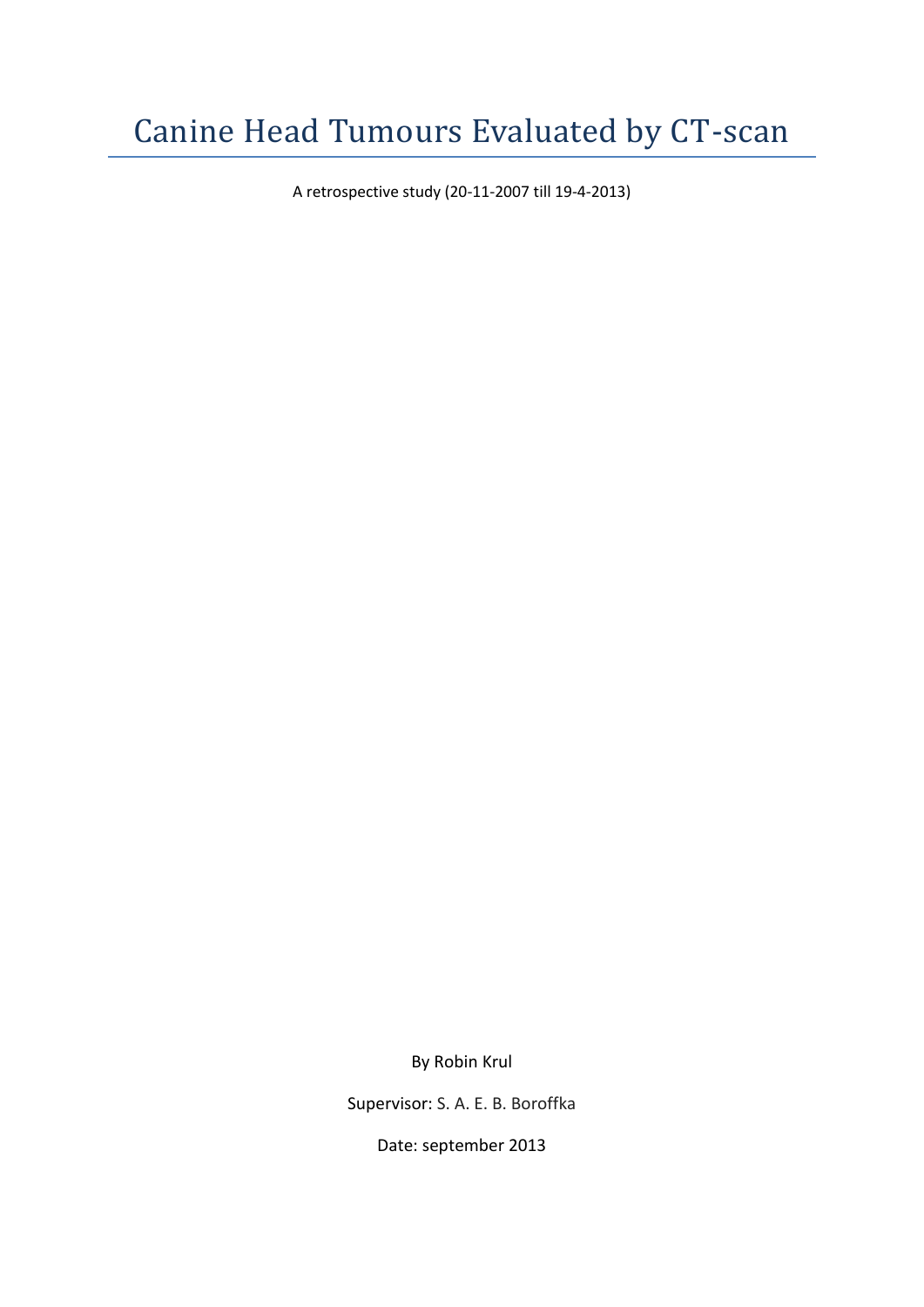A retrospective study (20-11-2007 till 19-4-2013)

By Robin Krul

Supervisor: S. A. E. B. Boroffka

Date: september 2013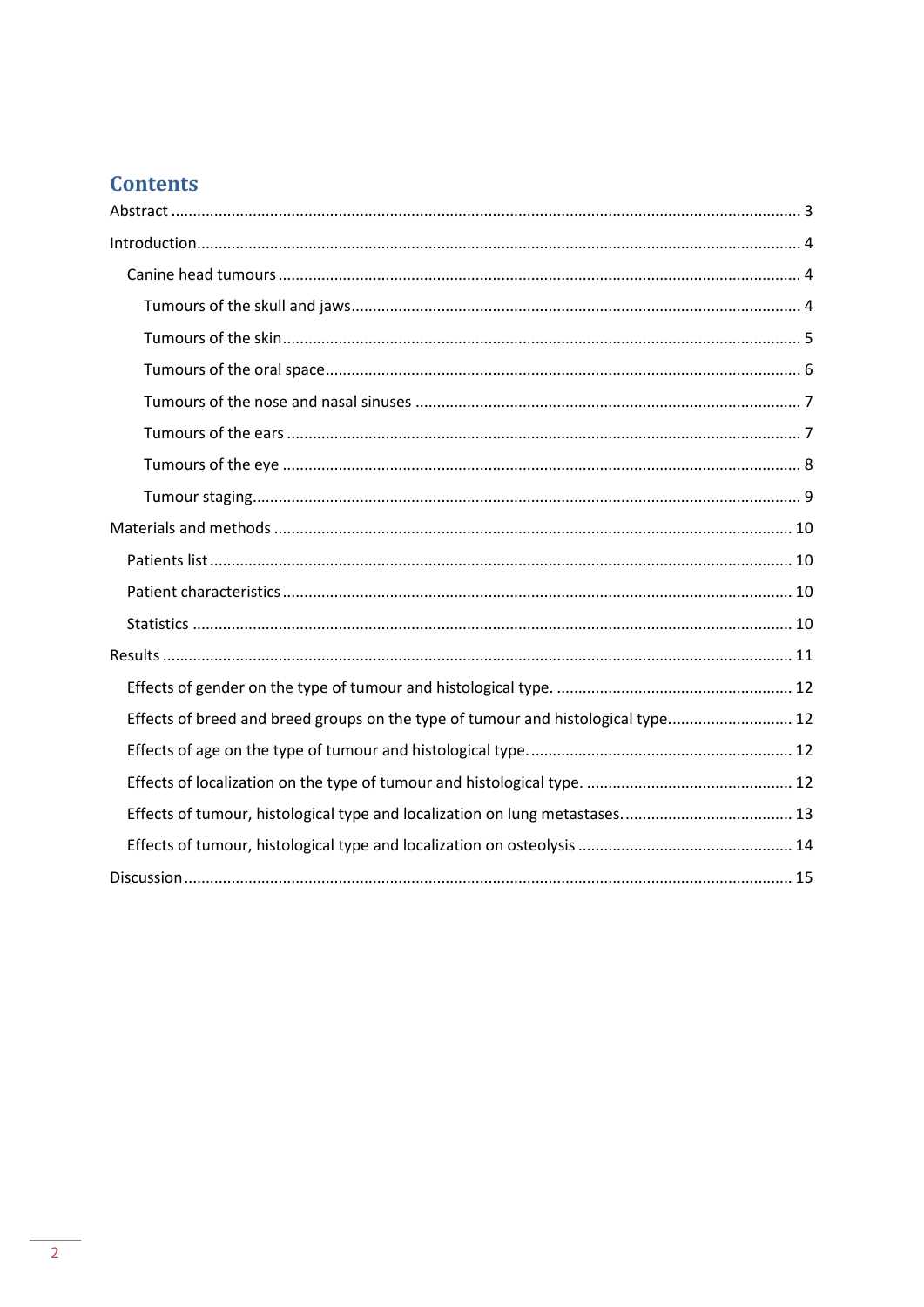# **Contents**

| Effects of breed and breed groups on the type of tumour and histological type 12 |
|----------------------------------------------------------------------------------|
|                                                                                  |
|                                                                                  |
|                                                                                  |
|                                                                                  |
|                                                                                  |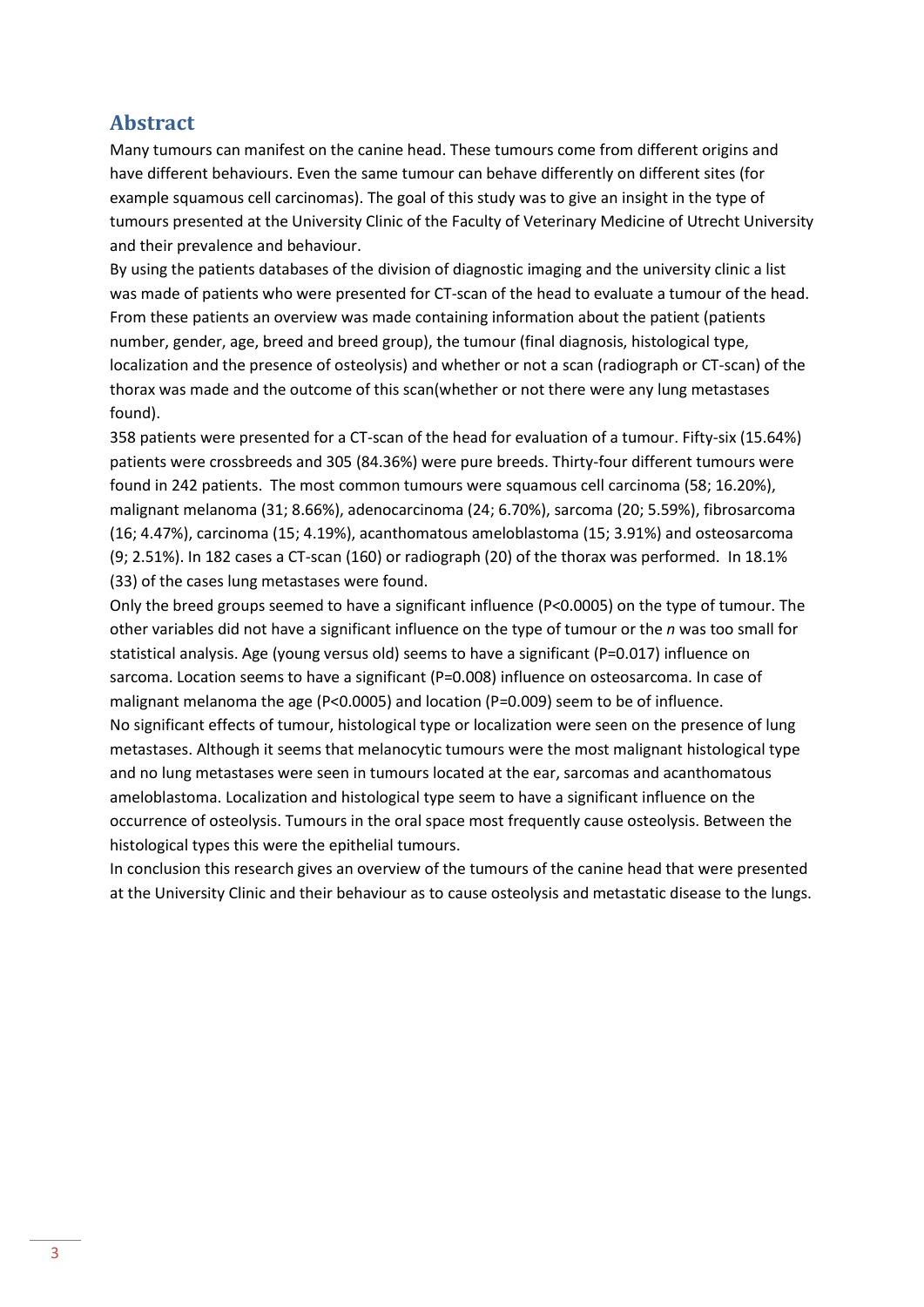# <span id="page-2-0"></span>**Abstract**

Many tumours can manifest on the canine head. These tumours come from different origins and have different behaviours. Even the same tumour can behave differently on different sites (for example squamous cell carcinomas). The goal of this study was to give an insight in the type of tumours presented at the University Clinic of the Faculty of Veterinary Medicine of Utrecht University and their prevalence and behaviour.

By using the patients databases of the division of diagnostic imaging and the university clinic a list was made of patients who were presented for CT-scan of the head to evaluate a tumour of the head. From these patients an overview was made containing information about the patient (patients number, gender, age, breed and breed group), the tumour (final diagnosis, histological type, localization and the presence of osteolysis) and whether or not a scan (radiograph or CT-scan) of the thorax was made and the outcome of this scan(whether or not there were any lung metastases found).

358 patients were presented for a CT-scan of the head for evaluation of a tumour. Fifty-six (15.64%) patients were crossbreeds and 305 (84.36%) were pure breeds. Thirty-four different tumours were found in 242 patients. The most common tumours were squamous cell carcinoma (58; 16.20%), malignant melanoma (31; 8.66%), adenocarcinoma (24; 6.70%), sarcoma (20; 5.59%), fibrosarcoma (16; 4.47%), carcinoma (15; 4.19%), acanthomatous ameloblastoma (15; 3.91%) and osteosarcoma (9; 2.51%). In 182 cases a CT-scan (160) or radiograph (20) of the thorax was performed. In 18.1% (33) of the cases lung metastases were found.

Only the breed groups seemed to have a significant influence (P<0.0005) on the type of tumour. The other variables did not have a significant influence on the type of tumour or the *n* was too small for statistical analysis. Age (young versus old) seems to have a significant (P=0.017) influence on sarcoma. Location seems to have a significant (P=0.008) influence on osteosarcoma. In case of malignant melanoma the age (P<0.0005) and location (P=0.009) seem to be of influence. No significant effects of tumour, histological type or localization were seen on the presence of lung metastases. Although it seems that melanocytic tumours were the most malignant histological type and no lung metastases were seen in tumours located at the ear, sarcomas and acanthomatous ameloblastoma. Localization and histological type seem to have a significant influence on the occurrence of osteolysis. Tumours in the oral space most frequently cause osteolysis. Between the histological types this were the epithelial tumours.

In conclusion this research gives an overview of the tumours of the canine head that were presented at the University Clinic and their behaviour as to cause osteolysis and metastatic disease to the lungs.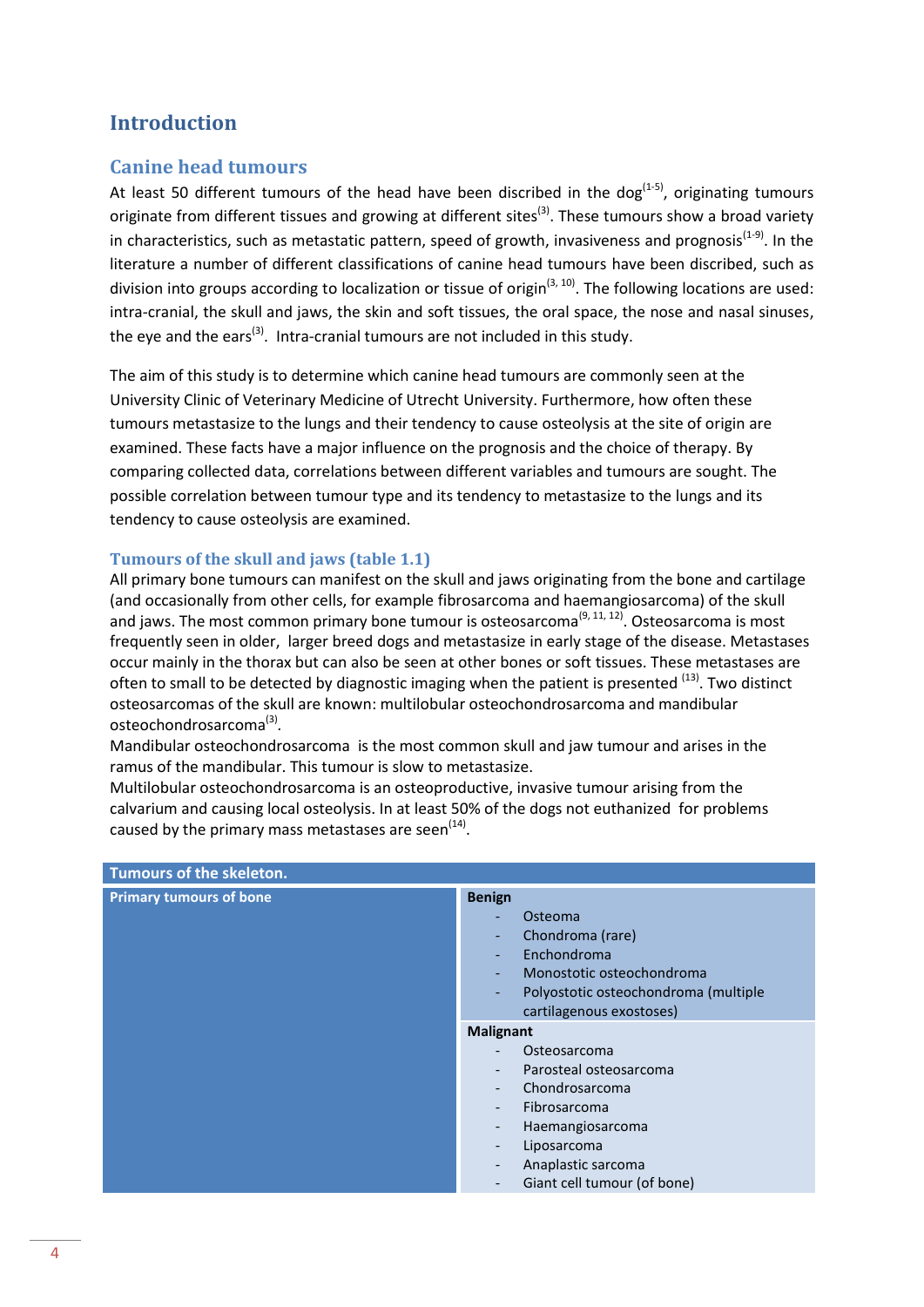# <span id="page-3-0"></span>**Introduction**

### <span id="page-3-1"></span>**Canine head tumours**

At least 50 different tumours of the head have been discribed in the dog<sup>(1-5)</sup>, originating tumours originate from different tissues and growing at different sites<sup>(3)</sup>. These tumours show a broad variety in characteristics, such as metastatic pattern, speed of growth, invasiveness and prognosis<sup>(1-9)</sup>. In the literature a number of different classifications of canine head tumours have been discribed, such as division into groups according to localization or tissue of origin<sup>(3, 10)</sup>. The following locations are used: intra-cranial, the skull and jaws, the skin and soft tissues, the oral space, the nose and nasal sinuses, the eye and the ears<sup>(3)</sup>. Intra-cranial tumours are not included in this study.

The aim of this study is to determine which canine head tumours are commonly seen at the University Clinic of Veterinary Medicine of Utrecht University. Furthermore, how often these tumours metastasize to the lungs and their tendency to cause osteolysis at the site of origin are examined. These facts have a major influence on the prognosis and the choice of therapy. By comparing collected data, correlations between different variables and tumours are sought. The possible correlation between tumour type and its tendency to metastasize to the lungs and its tendency to cause osteolysis are examined.

#### <span id="page-3-2"></span>**Tumours of the skull and jaws (table 1.1)**

All primary bone tumours can manifest on the skull and jaws originating from the bone and cartilage (and occasionally from other cells, for example fibrosarcoma and haemangiosarcoma) of the skull and jaws. The most common primary bone tumour is osteosarcoma<sup>(9, 11, 12)</sup>. Osteosarcoma is most frequently seen in older, larger breed dogs and metastasize in early stage of the disease. Metastases occur mainly in the thorax but can also be seen at other bones or soft tissues. These metastases are often to small to be detected by diagnostic imaging when the patient is presented <sup>(13)</sup>. Two distinct osteosarcomas of the skull are known: multilobular osteochondrosarcoma and mandibular osteochondrosarcoma<sup>(3)</sup>.

Mandibular osteochondrosarcoma is the most common skull and jaw tumour and arises in the ramus of the mandibular. This tumour is slow to metastasize.

Multilobular osteochondrosarcoma is an osteoproductive, invasive tumour arising from the calvarium and causing local osteolysis. In at least 50% of the dogs not euthanized for problems caused by the primary mass metastases are seen $^{(14)}$ .

| Tumours of the skeleton.       |                                                                                                                                                                                                                                                                                                                                                            |
|--------------------------------|------------------------------------------------------------------------------------------------------------------------------------------------------------------------------------------------------------------------------------------------------------------------------------------------------------------------------------------------------------|
| <b>Primary tumours of bone</b> | <b>Benign</b><br>Osteoma<br>Chondroma (rare)<br>$\overline{\phantom{0}}$<br>Enchondroma<br>٠<br>Monostotic osteochondroma<br>٠<br>Polyostotic osteochondroma (multiple<br>٠                                                                                                                                                                                |
|                                | cartilagenous exostoses)<br><b>Malignant</b><br>Osteosarcoma<br>Parosteal osteosarcoma<br>$\overline{\phantom{a}}$<br>Chondrosarcoma<br>$\overline{\phantom{a}}$<br>Fibrosarcoma<br>$\overline{\phantom{0}}$<br>Haemangiosarcoma<br>-<br>Liposarcoma<br>$\overline{\phantom{a}}$<br>Anaplastic sarcoma<br>$\qquad \qquad -$<br>Giant cell tumour (of bone) |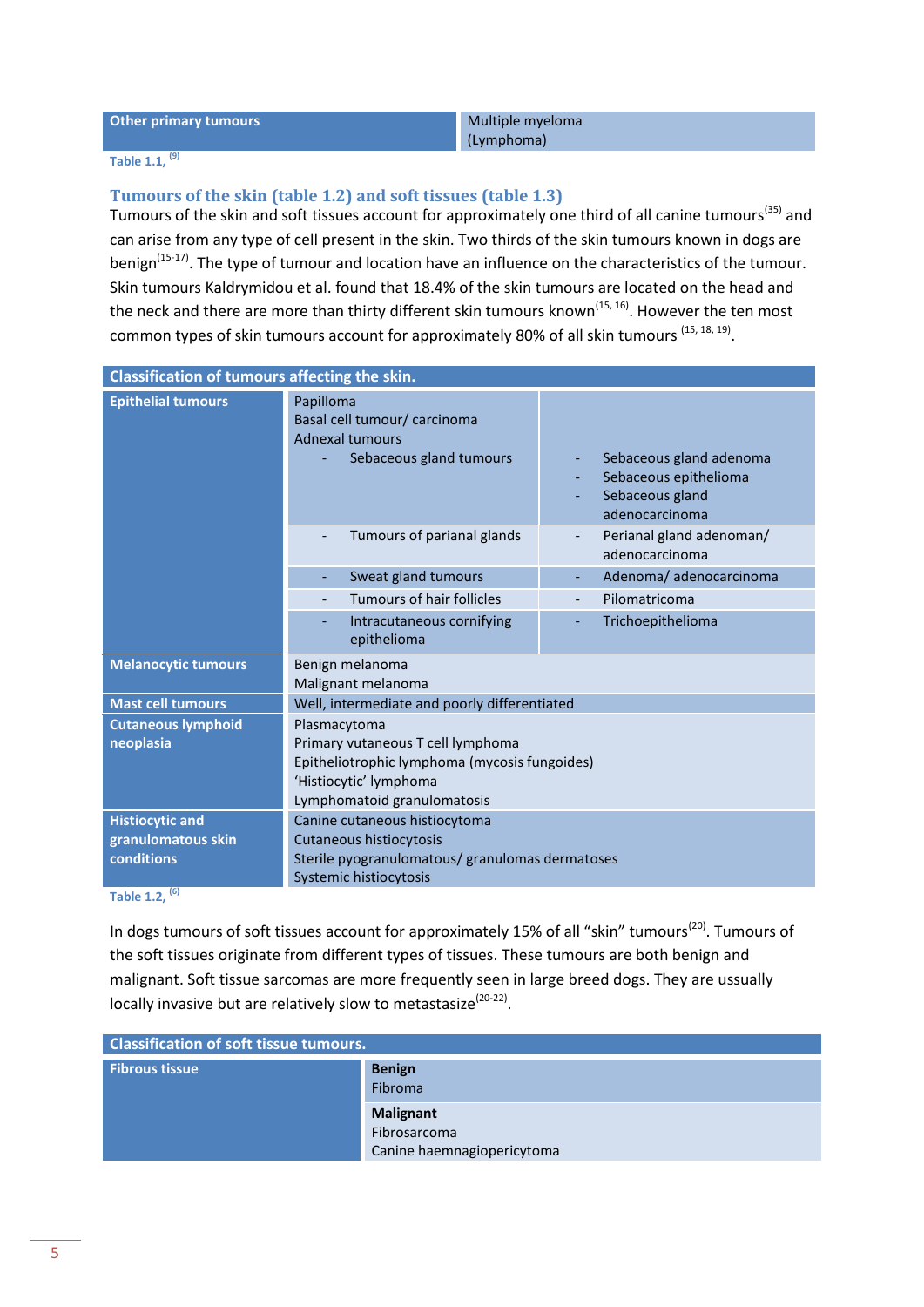#### **Other primary tumours** Multiple myeloma

(Lymphoma)

#### **Table 1.1, (9)**

#### <span id="page-4-0"></span>**Tumours of the skin (table 1.2) and soft tissues (table 1.3)**

Tumours of the skin and soft tissues account for approximately one third of all canine tumours<sup>(35)</sup> and can arise from any type of cell present in the skin. Two thirds of the skin tumours known in dogs are benign<sup>(15-17)</sup>. The type of tumour and location have an influence on the characteristics of the tumour. Skin tumours Kaldrymidou et al. found that 18.4% of the skin tumours are located on the head and the neck and there are more than thirty different skin tumours known<sup>(15, 16)</sup>. However the ten most common types of skin tumours account for approximately 80% of all skin tumours <sup>(15, 18, 19)</sup>.

| Classification of tumours affecting the skin. |                                                                                                                                             |                                                                                       |
|-----------------------------------------------|---------------------------------------------------------------------------------------------------------------------------------------------|---------------------------------------------------------------------------------------|
| <b>Epithelial tumours</b>                     | Papilloma<br>Basal cell tumour/ carcinoma<br><b>Adnexal tumours</b><br>Sebaceous gland tumours                                              | Sebaceous gland adenoma<br>Sebaceous epithelioma<br>Sebaceous gland<br>adenocarcinoma |
|                                               | Tumours of parianal glands                                                                                                                  | Perianal gland adenoman/<br>adenocarcinoma                                            |
|                                               | Sweat gland tumours                                                                                                                         | Adenoma/adenocarcinoma                                                                |
|                                               | Tumours of hair follicles                                                                                                                   | Pilomatricoma                                                                         |
|                                               | Intracutaneous cornifying<br>epithelioma                                                                                                    | Trichoepithelioma                                                                     |
| <b>Melanocytic tumours</b>                    | Benign melanoma<br>Malignant melanoma                                                                                                       |                                                                                       |
| <b>Mast cell tumours</b>                      | Well, intermediate and poorly differentiated                                                                                                |                                                                                       |
| <b>Cutaneous lymphoid</b>                     | Plasmacytoma                                                                                                                                |                                                                                       |
| neoplasia                                     | Primary vutaneous T cell lymphoma<br>Epitheliotrophic lymphoma (mycosis fungoides)<br>'Histiocytic' lymphoma<br>Lymphomatoid granulomatosis |                                                                                       |
| <b>Histiocytic and</b>                        | Canine cutaneous histiocytoma                                                                                                               |                                                                                       |
| granulomatous skin                            | Cutaneous histiocytosis                                                                                                                     |                                                                                       |
| conditions                                    | Sterile pyogranulomatous/ granulomas dermatoses                                                                                             |                                                                                       |
|                                               | Systemic histiocytosis                                                                                                                      |                                                                                       |

**Table 1.2, (6)**

In dogs tumours of soft tissues account for approximately 15% of all "skin" tumours<sup>(20)</sup>. Tumours of the soft tissues originate from different types of tissues. These tumours are both benign and malignant. Soft tissue sarcomas are more frequently seen in large breed dogs. They are ussually locally invasive but are relatively slow to metastasize<sup>(20-22)</sup>.

| <b>Classification of soft tissue tumours.</b> |                                                                |
|-----------------------------------------------|----------------------------------------------------------------|
| <b>Fibrous tissue</b>                         | <b>Benign</b><br>Fibroma                                       |
|                                               | <b>Malignant</b><br>Fibrosarcoma<br>Canine haemnagiopericytoma |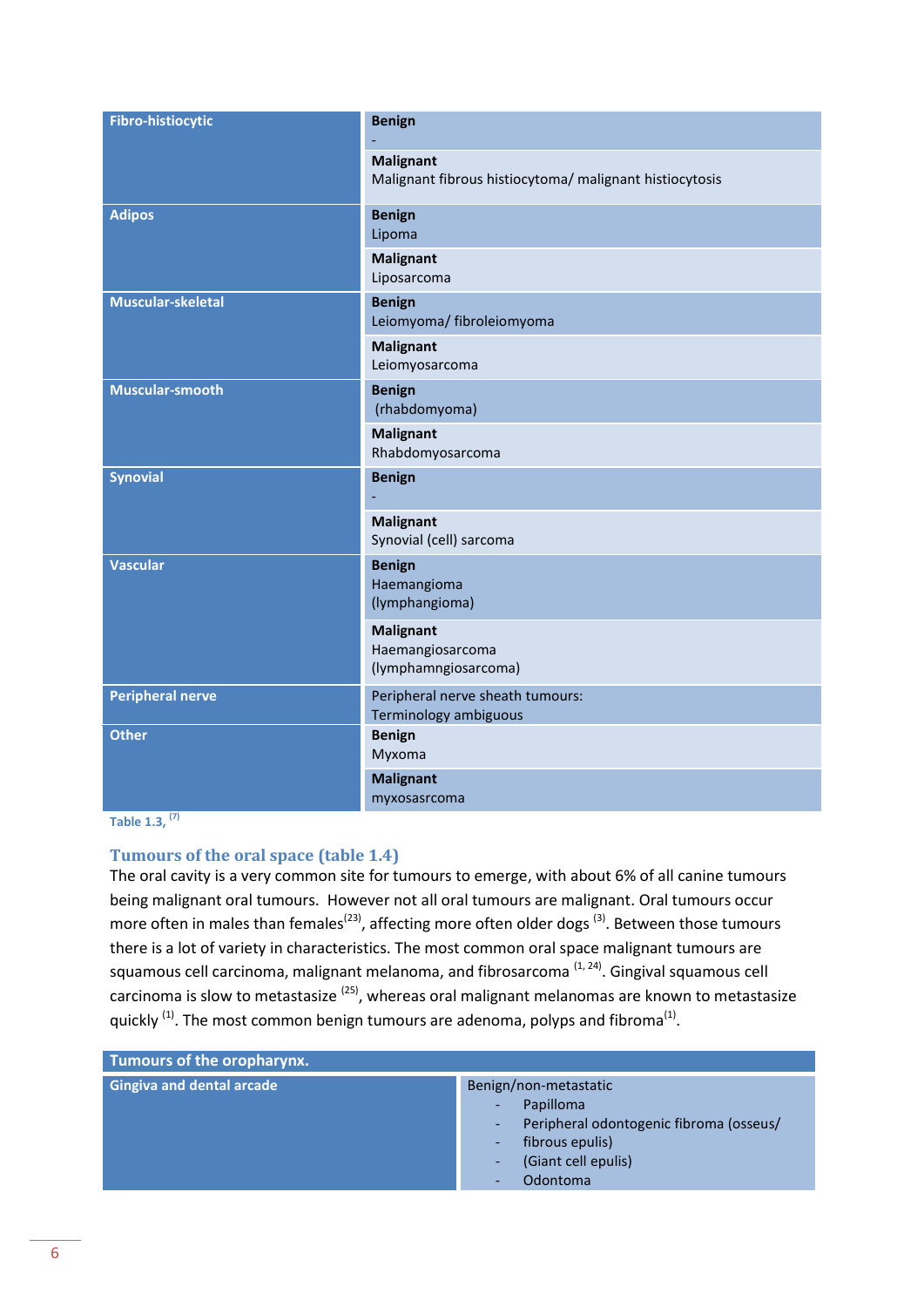| <b>Fibro-histiocytic</b> | <b>Benign</b>                                                               |
|--------------------------|-----------------------------------------------------------------------------|
|                          | <b>Malignant</b><br>Malignant fibrous histiocytoma/ malignant histiocytosis |
| <b>Adipos</b>            | <b>Benign</b><br>Lipoma                                                     |
|                          | <b>Malignant</b><br>Liposarcoma                                             |
| Muscular-skeletal        | <b>Benign</b><br>Leiomyoma/ fibroleiomyoma                                  |
|                          | <b>Malignant</b><br>Leiomyosarcoma                                          |
| Muscular-smooth          | <b>Benign</b><br>(rhabdomyoma)                                              |
|                          | <b>Malignant</b><br>Rhabdomyosarcoma                                        |
| <b>Synovial</b>          | <b>Benign</b>                                                               |
|                          | <b>Malignant</b><br>Synovial (cell) sarcoma                                 |
| <b>Vascular</b>          | <b>Benign</b><br>Haemangioma<br>(lymphangioma)                              |
|                          | <b>Malignant</b><br>Haemangiosarcoma<br>(lymphamngiosarcoma)                |
| <b>Peripheral nerve</b>  | Peripheral nerve sheath tumours:<br>Terminology ambiguous                   |
| <b>Other</b>             | <b>Benign</b><br>Myxoma                                                     |
|                          | <b>Malignant</b><br>myxosasrcoma                                            |

**Table 1.3, (7)**

#### <span id="page-5-0"></span>**Tumours of the oral space (table 1.4)**

The oral cavity is a very common site for tumours to emerge, with about 6% of all canine tumours being malignant oral tumours. However not all oral tumours are malignant. Oral tumours occur more often in males than females<sup>(23)</sup>, affecting more often older dogs <sup>(3)</sup>. Between those tumours there is a lot of variety in characteristics. The most common oral space malignant tumours are squamous cell carcinoma, malignant melanoma, and fibrosarcoma <sup>(1, 24)</sup>. Gingival squamous cell carcinoma is slow to metastasize <sup>(25)</sup>, whereas oral malignant melanomas are known to metastasize quickly  $^{(1)}$ . The most common benign tumours are adenoma, polyps and fibroma<sup>(1)</sup>.

| Tumours of the oropharynx.       |                                                                                                                                                           |
|----------------------------------|-----------------------------------------------------------------------------------------------------------------------------------------------------------|
| <b>Gingiva and dental arcade</b> | Benign/non-metastatic<br>Papilloma<br>٠<br>Peripheral odontogenic fibroma (osseus/<br>٠.<br>fibrous epulis)<br>۰.<br>(Giant cell epulis)<br>-<br>Odontoma |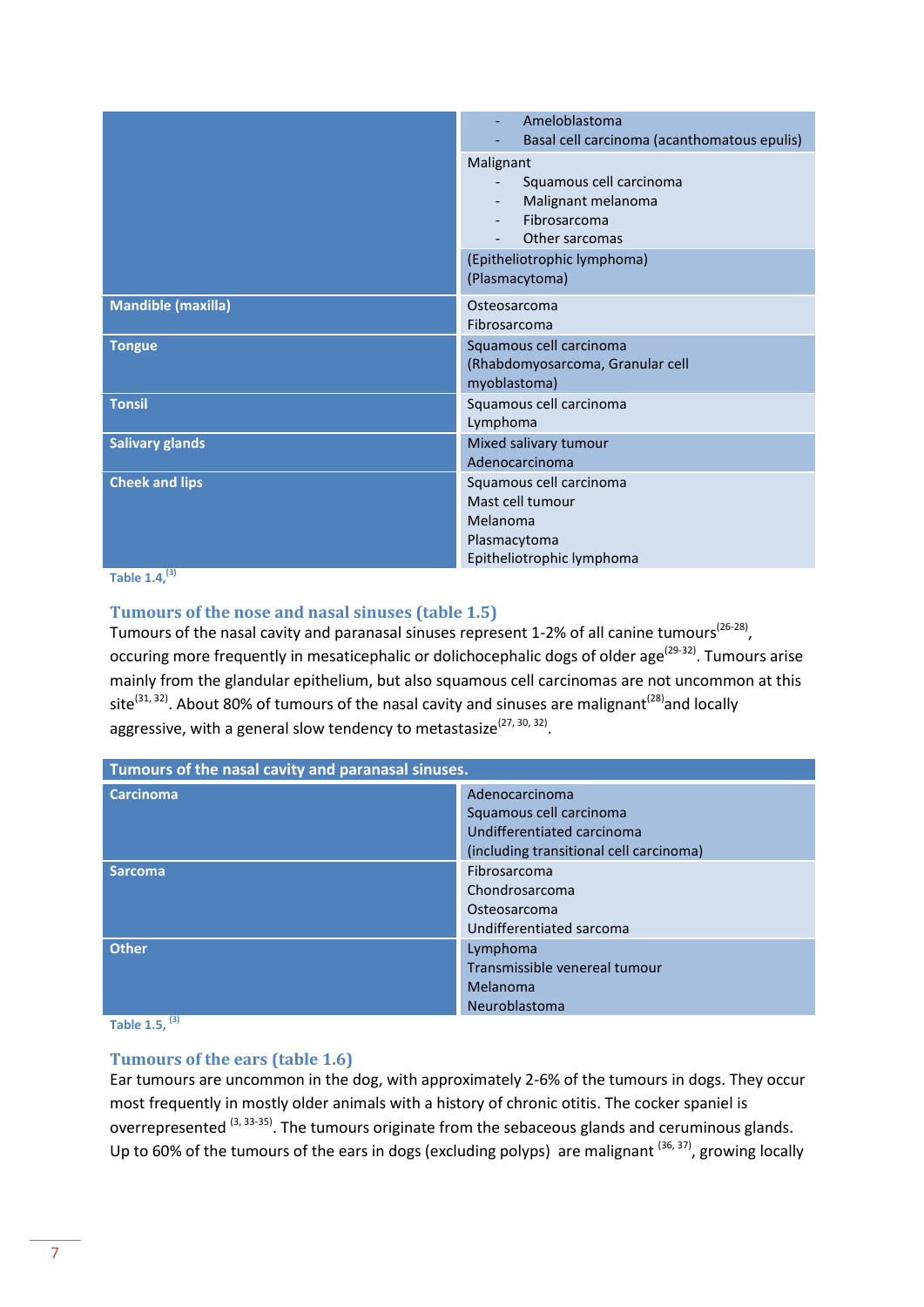|                           | Ameloblastoma<br>Basal cell carcinoma (acanthomatous epulis)                                                                                  |
|---------------------------|-----------------------------------------------------------------------------------------------------------------------------------------------|
|                           | Malignant<br>Squamous cell carcinoma<br>Malignant melanoma<br>Fibrosarcoma<br>Other sarcomas<br>(Epitheliotrophic lymphoma)<br>(Plasmacytoma) |
| <b>Mandible (maxilla)</b> | Osteosarcoma<br>Fibrosarcoma                                                                                                                  |
| <b>Tongue</b>             | Squamous cell carcinoma<br>(Rhabdomyosarcoma, Granular cell<br>myoblastoma)                                                                   |
| <b>Tonsil</b>             | Squamous cell carcinoma<br>Lymphoma                                                                                                           |
| <b>Salivary glands</b>    | Mixed salivary tumour<br>Adenocarcinoma                                                                                                       |
| <b>Cheek and lips</b>     | Squamous cell carcinoma<br>Mast cell tumour<br>Melanoma<br>Plasmacytoma<br>Epitheliotrophic lymphoma                                          |

**Table 1.4,(3)**

#### <span id="page-6-0"></span>**Tumours of the nose and nasal sinuses (table 1.5)**

Tumours of the nasal cavity and paranasal sinuses represent 1-2% of all canine tumours<sup>(26-28)</sup>, occuring more frequently in mesaticephalic or dolichocephalic dogs of older age<sup>(29-32)</sup>. Tumours arise mainly from the glandular epithelium, but also squamous cell carcinomas are not uncommon at this site<sup>(31, 32)</sup>. About 80% of tumours of the nasal cavity and sinuses are malignant<sup>(28)</sup>and locally aggressive, with a general slow tendency to metastasize<sup>(27, 30, 32)</sup>.

| Tumours of the nasal cavity and paranasal sinuses. |                                         |
|----------------------------------------------------|-----------------------------------------|
| <b>Carcinoma</b>                                   | Adenocarcinoma                          |
|                                                    | Squamous cell carcinoma                 |
|                                                    | Undifferentiated carcinoma              |
|                                                    | (including transitional cell carcinoma) |
| <b>Sarcoma</b>                                     | Fibrosarcoma                            |
|                                                    | Chondrosarcoma                          |
|                                                    | Osteosarcoma                            |
|                                                    | Undifferentiated sarcoma                |
| <b>Other</b>                                       | Lymphoma                                |
|                                                    | Transmissible venereal tumour           |
|                                                    | Melanoma                                |
|                                                    | Neuroblastoma                           |

**Table 1.5, (3)**

#### <span id="page-6-1"></span>**Tumours of the ears (table 1.6)**

Ear tumours are uncommon in the dog, with approximately 2-6% of the tumours in dogs. They occur most frequently in mostly older animals with a history of chronic otitis. The cocker spaniel is overrepresented <sup>(3, 33-35)</sup>. The tumours originate from the sebaceous glands and ceruminous glands. Up to 60% of the tumours of the ears in dogs (excluding polyps) are malignant  $(36, 37)$ , growing locally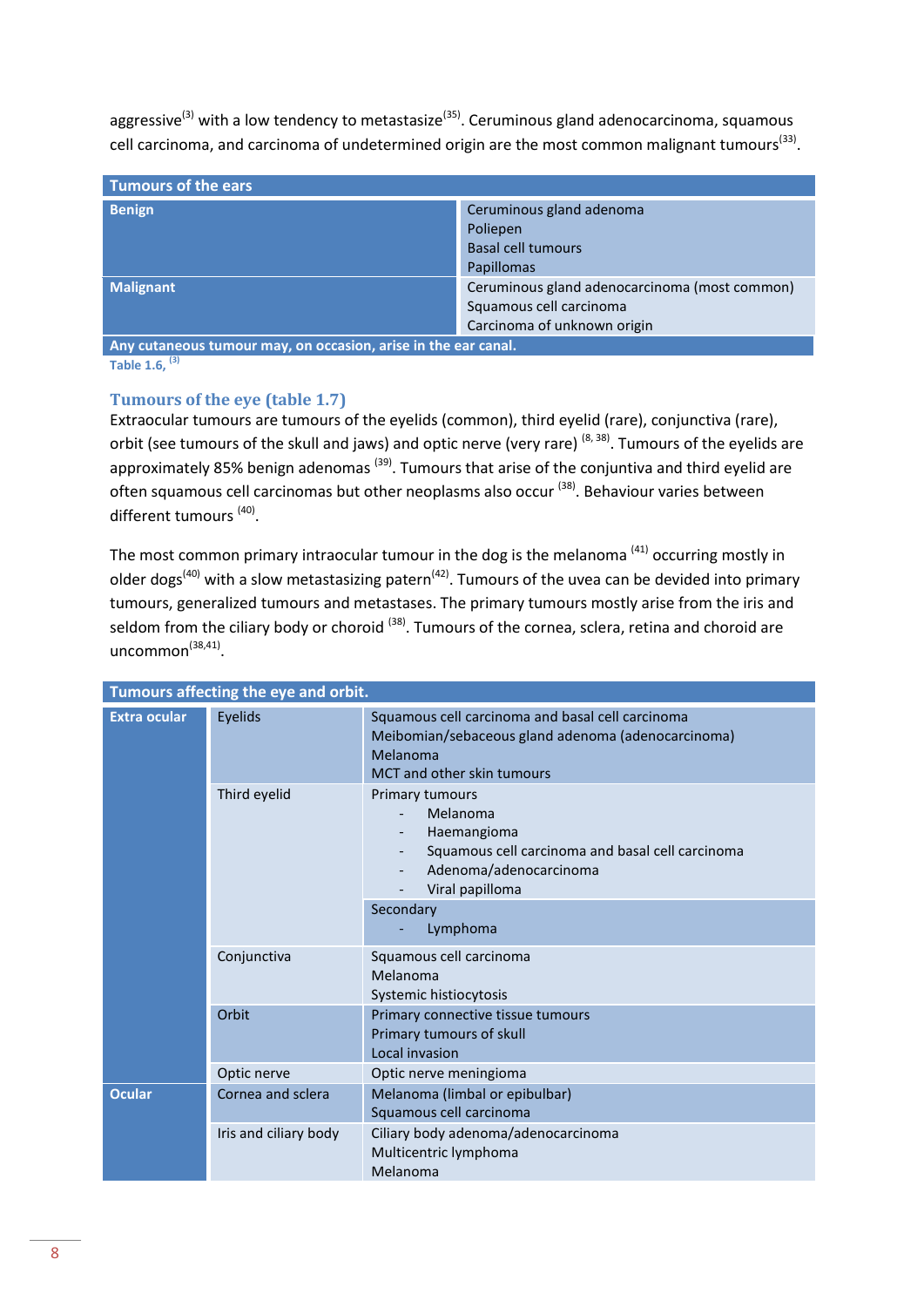aggressive<sup>(3)</sup> with a low tendency to metastasize<sup>(35)</sup>. Ceruminous gland adenocarcinoma, squamous cell carcinoma, and carcinoma of undetermined origin are the most common malignant tumours<sup>(33)</sup>.

| Tumours of the ears                                            |                                                                                                         |
|----------------------------------------------------------------|---------------------------------------------------------------------------------------------------------|
| <b>Benign</b>                                                  | Ceruminous gland adenoma<br>Poliepen<br><b>Basal cell tumours</b><br>Papillomas                         |
| <b>Malignant</b>                                               | Ceruminous gland adenocarcinoma (most common)<br>Squamous cell carcinoma<br>Carcinoma of unknown origin |
| Any cutaneous tumour may, on occasion, arise in the ear canal. |                                                                                                         |

**Table 1.6, (3)**

#### <span id="page-7-0"></span>**Tumours of the eye (table 1.7)**

Extraocular tumours are tumours of the eyelids (common), third eyelid (rare), conjunctiva (rare), orbit (see tumours of the skull and jaws) and optic nerve (very rare) <sup>(8, 38)</sup>. Tumours of the eyelids are approximately 85% benign adenomas  $(39)$ . Tumours that arise of the conjuntiva and third eyelid are often squamous cell carcinomas but other neoplasms also occur <sup>(38)</sup>. Behaviour varies between different tumours<sup>(40)</sup>.

The most common primary intraocular tumour in the dog is the melanoma<sup>(41)</sup> occurring mostly in older dogs<sup>(40)</sup> with a slow metastasizing patern<sup>(42)</sup>. Tumours of the uvea can be devided into primary tumours, generalized tumours and metastases. The primary tumours mostly arise from the iris and seldom from the ciliary body or choroid <sup>(38)</sup>. Tumours of the cornea, sclera, retina and choroid are uncommon<sup>(38,41)</sup>.

|                     | Tumours affecting the eye and orbit. |                                                                                                                                                         |
|---------------------|--------------------------------------|---------------------------------------------------------------------------------------------------------------------------------------------------------|
| <b>Extra ocular</b> | Eyelids                              | Squamous cell carcinoma and basal cell carcinoma<br>Meibomian/sebaceous gland adenoma (adenocarcinoma)<br>Melanoma<br><b>MCT</b> and other skin tumours |
|                     | Third eyelid                         | Primary tumours<br>Melanoma<br>Haemangioma<br>Squamous cell carcinoma and basal cell carcinoma<br>Adenoma/adenocarcinoma<br>Viral papilloma             |
|                     |                                      | Secondary<br>Lymphoma                                                                                                                                   |
|                     | Conjunctiva                          | Squamous cell carcinoma<br>Melanoma<br>Systemic histiocytosis                                                                                           |
|                     | Orbit                                | Primary connective tissue tumours<br>Primary tumours of skull<br>Local invasion                                                                         |
|                     | Optic nerve                          | Optic nerve meningioma                                                                                                                                  |
| <b>Ocular</b>       | Cornea and sclera                    | Melanoma (limbal or epibulbar)<br>Squamous cell carcinoma                                                                                               |
|                     | Iris and ciliary body                | Ciliary body adenoma/adenocarcinoma<br>Multicentric lymphoma<br>Melanoma                                                                                |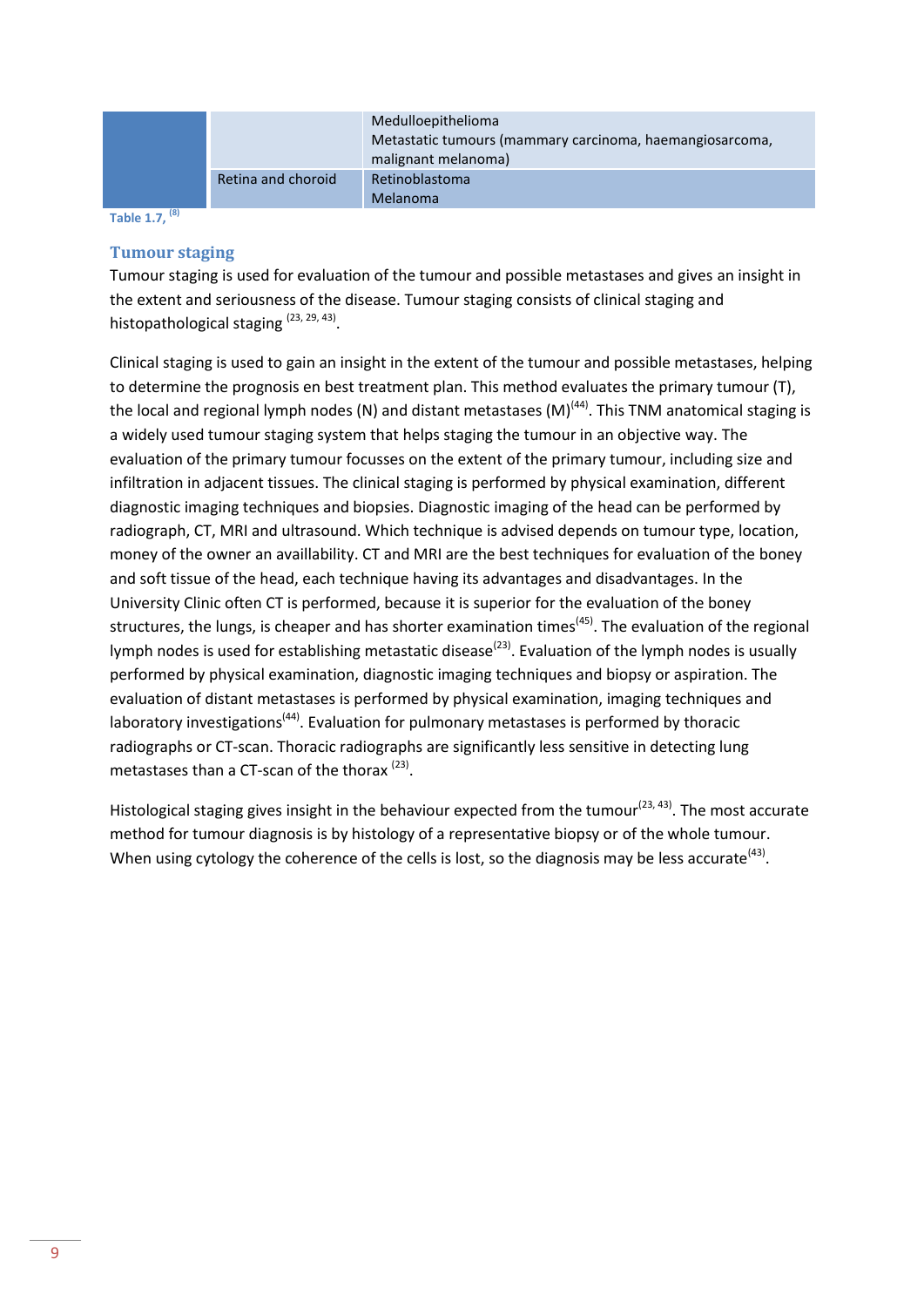|                    | Medulloepithelioma<br>Metastatic tumours (mammary carcinoma, haemangiosarcoma,<br>malignant melanoma) |
|--------------------|-------------------------------------------------------------------------------------------------------|
| Retina and choroid | Retinoblastoma<br>Melanoma                                                                            |

**Table 1.7, (8)**

#### <span id="page-8-0"></span>**Tumour staging**

Tumour staging is used for evaluation of the tumour and possible metastases and gives an insight in the extent and seriousness of the disease. Tumour staging consists of clinical staging and histopathological staging <sup>(23, 29, 43)</sup>.

Clinical staging is used to gain an insight in the extent of the tumour and possible metastases, helping to determine the prognosis en best treatment plan. This method evaluates the primary tumour (T), the local and regional lymph nodes (N) and distant metastases (M)<sup>(44)</sup>. This TNM anatomical staging is a widely used tumour staging system that helps staging the tumour in an objective way. The evaluation of the primary tumour focusses on the extent of the primary tumour, including size and infiltration in adjacent tissues. The clinical staging is performed by physical examination, different diagnostic imaging techniques and biopsies. Diagnostic imaging of the head can be performed by radiograph, CT, MRI and ultrasound. Which technique is advised depends on tumour type, location, money of the owner an availlability. CT and MRI are the best techniques for evaluation of the boney and soft tissue of the head, each technique having its advantages and disadvantages. In the University Clinic often CT is performed, because it is superior for the evaluation of the boney structures, the lungs, is cheaper and has shorter examination times<sup>(45)</sup>. The evaluation of the regional lymph nodes is used for establishing metastatic disease<sup>(23)</sup>. Evaluation of the lymph nodes is usually performed by physical examination, diagnostic imaging techniques and biopsy or aspiration. The evaluation of distant metastases is performed by physical examination, imaging techniques and laboratory investigations<sup>(44)</sup>. Evaluation for pulmonary metastases is performed by thoracic radiographs or CT-scan. Thoracic radiographs are significantly less sensitive in detecting lung metastases than a CT-scan of the thorax<sup>(23)</sup>.

Histological staging gives insight in the behaviour expected from the tumour<sup>(23, 43)</sup>. The most accurate method for tumour diagnosis is by histology of a representative biopsy or of the whole tumour. When using cytology the coherence of the cells is lost, so the diagnosis may be less accurate<sup>(43)</sup>.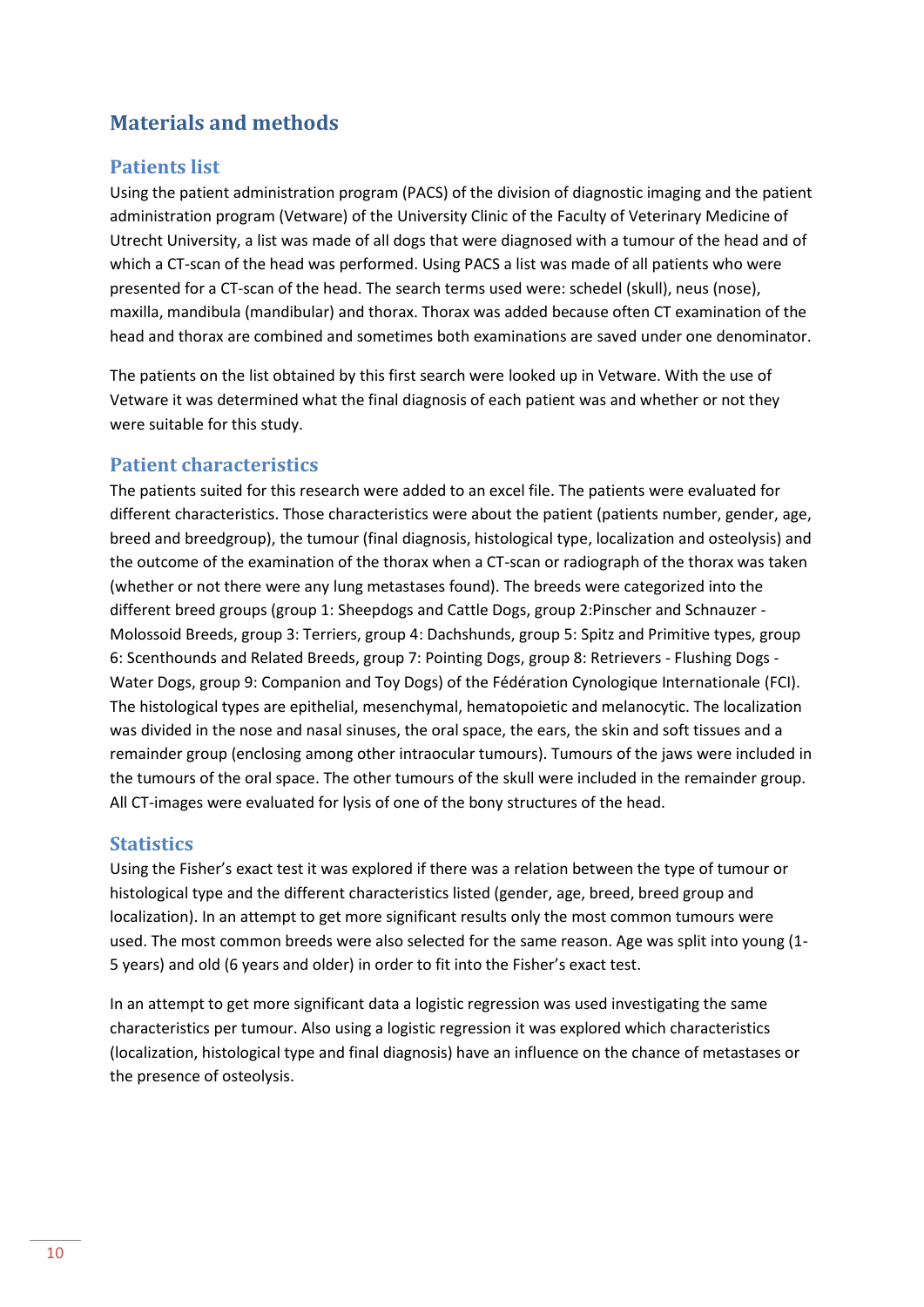# <span id="page-9-0"></span>**Materials and methods**

### <span id="page-9-1"></span>**Patients list**

Using the patient administration program (PACS) of the division of diagnostic imaging and the patient administration program (Vetware) of the University Clinic of the Faculty of Veterinary Medicine of Utrecht University, a list was made of all dogs that were diagnosed with a tumour of the head and of which a CT-scan of the head was performed. Using PACS a list was made of all patients who were presented for a CT-scan of the head. The search terms used were: schedel (skull), neus (nose), maxilla, mandibula (mandibular) and thorax. Thorax was added because often CT examination of the head and thorax are combined and sometimes both examinations are saved under one denominator.

The patients on the list obtained by this first search were looked up in Vetware. With the use of Vetware it was determined what the final diagnosis of each patient was and whether or not they were suitable for this study.

#### <span id="page-9-2"></span>**Patient characteristics**

The patients suited for this research were added to an excel file. The patients were evaluated for different characteristics. Those characteristics were about the patient (patients number, gender, age, breed and breedgroup), the tumour (final diagnosis, histological type, localization and osteolysis) and the outcome of the examination of the thorax when a CT-scan or radiograph of the thorax was taken (whether or not there were any lung metastases found). The breeds were categorized into the different breed groups (group 1: Sheepdogs and Cattle Dogs, group 2:Pinscher and Schnauzer - Molossoid Breeds, group 3: Terriers, group 4: Dachshunds, group 5: Spitz and Primitive types, group 6: Scenthounds and Related Breeds, group 7: Pointing Dogs, group 8: Retrievers - Flushing Dogs - Water Dogs, group 9: Companion and Toy Dogs) of the Fédération Cynologique Internationale (FCI). The histological types are epithelial, mesenchymal, hematopoietic and melanocytic. The localization was divided in the nose and nasal sinuses, the oral space, the ears, the skin and soft tissues and a remainder group (enclosing among other intraocular tumours). Tumours of the jaws were included in the tumours of the oral space. The other tumours of the skull were included in the remainder group. All CT-images were evaluated for lysis of one of the bony structures of the head.

### <span id="page-9-3"></span>**Statistics**

Using the Fisher's exact test it was explored if there was a relation between the type of tumour or histological type and the different characteristics listed (gender, age, breed, breed group and localization). In an attempt to get more significant results only the most common tumours were used. The most common breeds were also selected for the same reason. Age was split into young (1- 5 years) and old (6 years and older) in order to fit into the Fisher's exact test.

In an attempt to get more significant data a logistic regression was used investigating the same characteristics per tumour. Also using a logistic regression it was explored which characteristics (localization, histological type and final diagnosis) have an influence on the chance of metastases or the presence of osteolysis.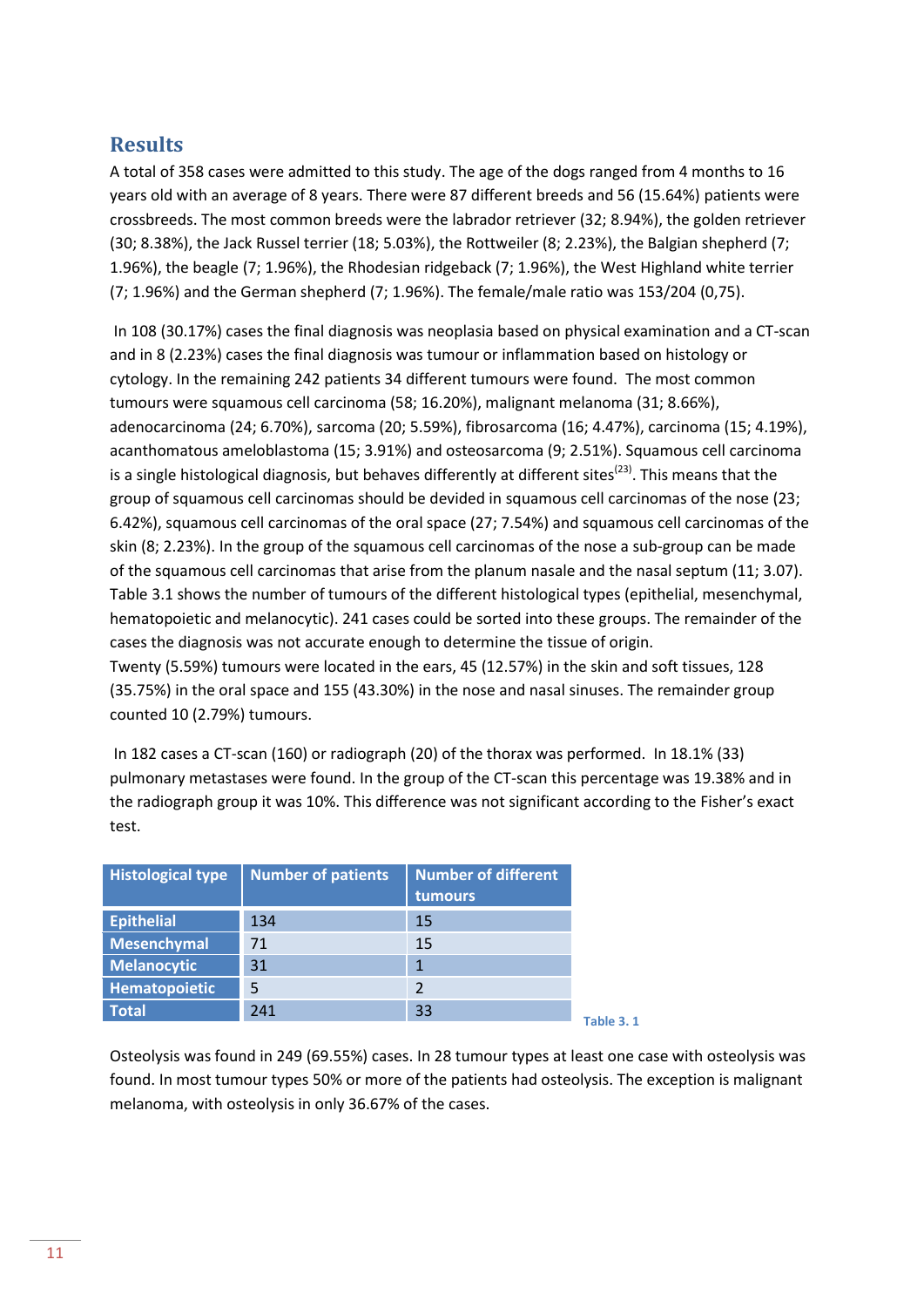# <span id="page-10-0"></span>**Results**

A total of 358 cases were admitted to this study. The age of the dogs ranged from 4 months to 16 years old with an average of 8 years. There were 87 different breeds and 56 (15.64%) patients were crossbreeds. The most common breeds were the labrador retriever (32; 8.94%), the golden retriever (30; 8.38%), the Jack Russel terrier (18; 5.03%), the Rottweiler (8; 2.23%), the Balgian shepherd (7; 1.96%), the beagle (7; 1.96%), the Rhodesian ridgeback (7; 1.96%), the West Highland white terrier (7; 1.96%) and the German shepherd (7; 1.96%). The female/male ratio was 153/204 (0,75).

In 108 (30.17%) cases the final diagnosis was neoplasia based on physical examination and a CT-scan and in 8 (2.23%) cases the final diagnosis was tumour or inflammation based on histology or cytology. In the remaining 242 patients 34 different tumours were found. The most common tumours were squamous cell carcinoma (58; 16.20%), malignant melanoma (31; 8.66%), adenocarcinoma (24; 6.70%), sarcoma (20; 5.59%), fibrosarcoma (16; 4.47%), carcinoma (15; 4.19%), acanthomatous ameloblastoma (15; 3.91%) and osteosarcoma (9; 2.51%). Squamous cell carcinoma is a single histological diagnosis, but behaves differently at different sites<sup>(23)</sup>. This means that the group of squamous cell carcinomas should be devided in squamous cell carcinomas of the nose (23; 6.42%), squamous cell carcinomas of the oral space (27; 7.54%) and squamous cell carcinomas of the skin (8; 2.23%). In the group of the squamous cell carcinomas of the nose a sub-group can be made of the squamous cell carcinomas that arise from the planum nasale and the nasal septum (11; 3.07). Table 3.1 shows the number of tumours of the different histological types (epithelial, mesenchymal, hematopoietic and melanocytic). 241 cases could be sorted into these groups. The remainder of the cases the diagnosis was not accurate enough to determine the tissue of origin. Twenty (5.59%) tumours were located in the ears, 45 (12.57%) in the skin and soft tissues, 128

(35.75%) in the oral space and 155 (43.30%) in the nose and nasal sinuses. The remainder group counted 10 (2.79%) tumours.

In 182 cases a CT-scan (160) or radiograph (20) of the thorax was performed. In 18.1% (33) pulmonary metastases were found. In the group of the CT-scan this percentage was 19.38% and in the radiograph group it was 10%. This difference was not significant according to the Fisher's exact test.

| <b>Histological type</b> | <b>Number of patients</b> | <b>Number of different</b><br>tumours |
|--------------------------|---------------------------|---------------------------------------|
| <b>Epithelial</b>        | 134                       | 15                                    |
| <b>Mesenchymal</b>       | 71                        | 15                                    |
| <b>Melanocytic</b>       | 31                        | 1                                     |
| Hematopoietic            | 5                         | 2                                     |
| Total                    | 241                       | 33                                    |
|                          |                           |                                       |

Osteolysis was found in 249 (69.55%) cases. In 28 tumour types at least one case with osteolysis was found. In most tumour types 50% or more of the patients had osteolysis. The exception is malignant melanoma, with osteolysis in only 36.67% of the cases.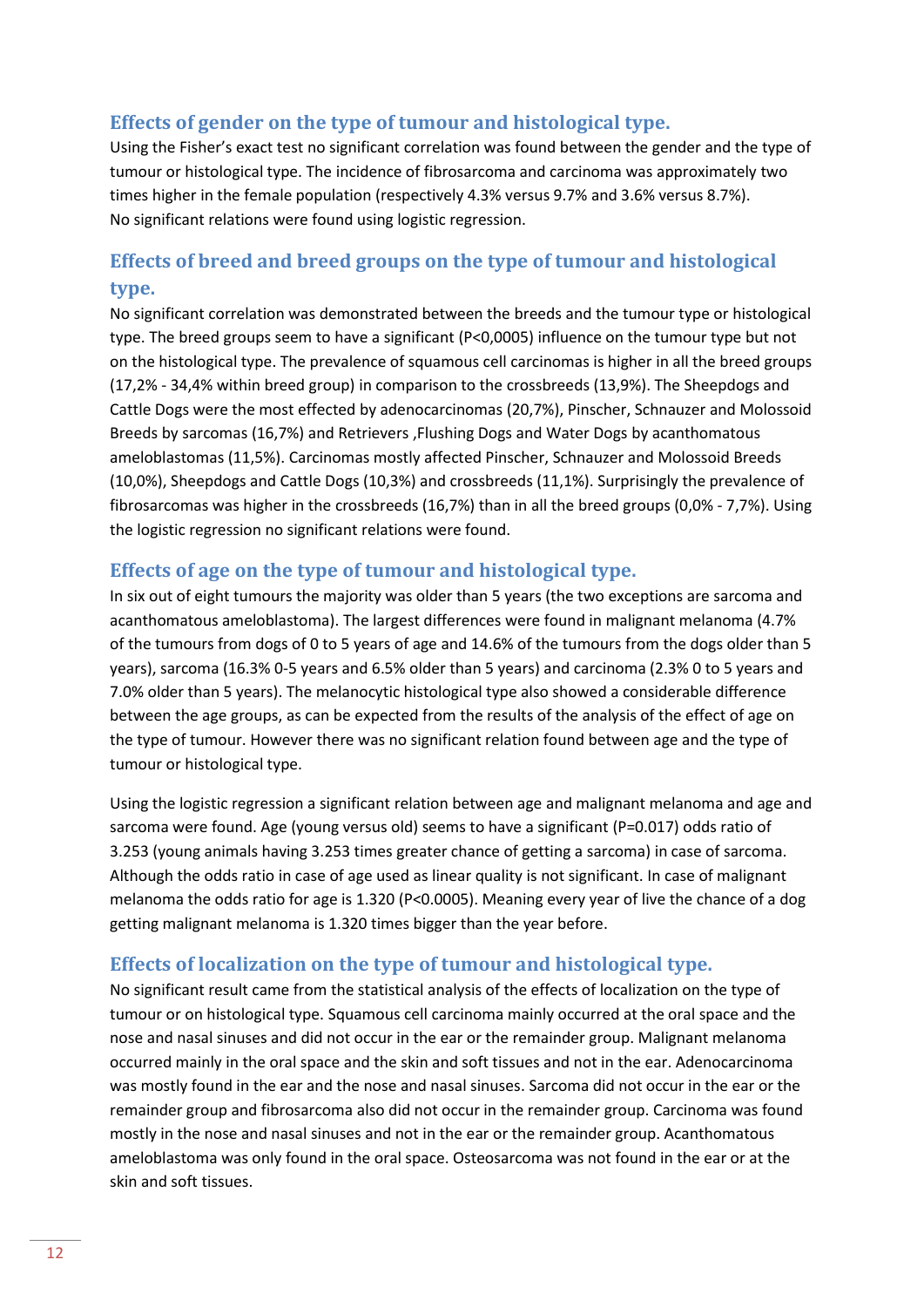## <span id="page-11-0"></span>**Effects of gender on the type of tumour and histological type.**

Using the Fisher's exact test no significant correlation was found between the gender and the type of tumour or histological type. The incidence of fibrosarcoma and carcinoma was approximately two times higher in the female population (respectively 4.3% versus 9.7% and 3.6% versus 8.7%). No significant relations were found using logistic regression.

# <span id="page-11-1"></span>**Effects of breed and breed groups on the type of tumour and histological type.**

No significant correlation was demonstrated between the breeds and the tumour type or histological type. The breed groups seem to have a significant (P<0,0005) influence on the tumour type but not on the histological type. The prevalence of squamous cell carcinomas is higher in all the breed groups (17,2% - 34,4% within breed group) in comparison to the crossbreeds (13,9%). The Sheepdogs and Cattle Dogs were the most effected by adenocarcinomas (20,7%), Pinscher, Schnauzer and Molossoid Breeds by sarcomas (16,7%) and Retrievers ,Flushing Dogs and Water Dogs by acanthomatous ameloblastomas (11,5%). Carcinomas mostly affected Pinscher, Schnauzer and Molossoid Breeds (10,0%), Sheepdogs and Cattle Dogs (10,3%) and crossbreeds (11,1%). Surprisingly the prevalence of fibrosarcomas was higher in the crossbreeds (16,7%) than in all the breed groups (0,0% - 7,7%). Using the logistic regression no significant relations were found.

### <span id="page-11-2"></span>**Effects of age on the type of tumour and histological type.**

In six out of eight tumours the majority was older than 5 years (the two exceptions are sarcoma and acanthomatous ameloblastoma). The largest differences were found in malignant melanoma (4.7% of the tumours from dogs of 0 to 5 years of age and 14.6% of the tumours from the dogs older than 5 years), sarcoma (16.3% 0-5 years and 6.5% older than 5 years) and carcinoma (2.3% 0 to 5 years and 7.0% older than 5 years). The melanocytic histological type also showed a considerable difference between the age groups, as can be expected from the results of the analysis of the effect of age on the type of tumour. However there was no significant relation found between age and the type of tumour or histological type.

Using the logistic regression a significant relation between age and malignant melanoma and age and sarcoma were found. Age (young versus old) seems to have a significant (P=0.017) odds ratio of 3.253 (young animals having 3.253 times greater chance of getting a sarcoma) in case of sarcoma. Although the odds ratio in case of age used as linear quality is not significant. In case of malignant melanoma the odds ratio for age is 1.320 (P<0.0005). Meaning every year of live the chance of a dog getting malignant melanoma is 1.320 times bigger than the year before.

### <span id="page-11-3"></span>**Effects of localization on the type of tumour and histological type.**

No significant result came from the statistical analysis of the effects of localization on the type of tumour or on histological type. Squamous cell carcinoma mainly occurred at the oral space and the nose and nasal sinuses and did not occur in the ear or the remainder group. Malignant melanoma occurred mainly in the oral space and the skin and soft tissues and not in the ear. Adenocarcinoma was mostly found in the ear and the nose and nasal sinuses. Sarcoma did not occur in the ear or the remainder group and fibrosarcoma also did not occur in the remainder group. Carcinoma was found mostly in the nose and nasal sinuses and not in the ear or the remainder group. Acanthomatous ameloblastoma was only found in the oral space. Osteosarcoma was not found in the ear or at the skin and soft tissues.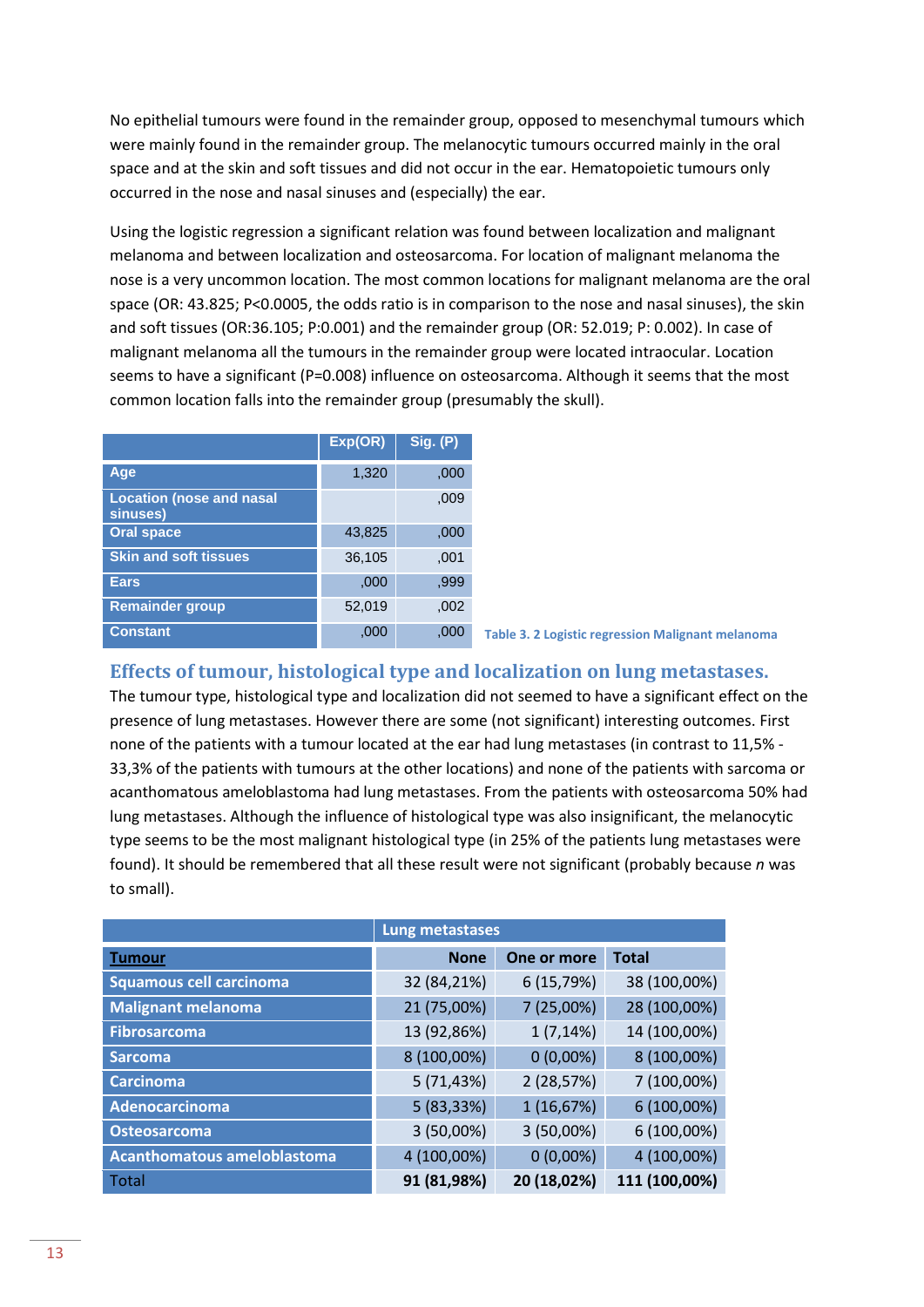No epithelial tumours were found in the remainder group, opposed to mesenchymal tumours which were mainly found in the remainder group. The melanocytic tumours occurred mainly in the oral space and at the skin and soft tissues and did not occur in the ear. Hematopoietic tumours only occurred in the nose and nasal sinuses and (especially) the ear.

Using the logistic regression a significant relation was found between localization and malignant melanoma and between localization and osteosarcoma. For location of malignant melanoma the nose is a very uncommon location. The most common locations for malignant melanoma are the oral space (OR: 43.825; P<0.0005, the odds ratio is in comparison to the nose and nasal sinuses), the skin and soft tissues (OR:36.105; P:0.001) and the remainder group (OR: 52.019; P: 0.002). In case of malignant melanoma all the tumours in the remainder group were located intraocular. Location seems to have a significant (P=0.008) influence on osteosarcoma. Although it seems that the most common location falls into the remainder group (presumably the skull).

|                                             | Exp(OR) | <b>Sig. (P)</b> |
|---------------------------------------------|---------|-----------------|
| Age                                         | 1,320   | ,000            |
| <b>Location (nose and nasal</b><br>sinuses) |         | ,009            |
| <b>Oral space</b>                           | 43,825  | ,000            |
| <b>Skin and soft tissues</b>                | 36,105  | .001            |
| <b>Ears</b>                                 | ,000    | .999            |
| <b>Remainder group</b>                      | 52,019  | .002            |
| <b>Constant</b>                             | ,000    | .000            |

**Table 3. 2 Logistic regression Malignant melanoma**

### <span id="page-12-0"></span>**Effects of tumour, histological type and localization on lung metastases.**

The tumour type, histological type and localization did not seemed to have a significant effect on the presence of lung metastases. However there are some (not significant) interesting outcomes. First none of the patients with a tumour located at the ear had lung metastases (in contrast to 11,5% - 33,3% of the patients with tumours at the other locations) and none of the patients with sarcoma or acanthomatous ameloblastoma had lung metastases. From the patients with osteosarcoma 50% had lung metastases. Although the influence of histological type was also insignificant, the melanocytic type seems to be the most malignant histological type (in 25% of the patients lung metastases were found). It should be remembered that all these result were not significant (probably because *n* was to small).

|                                    | Lung metastases |             |               |
|------------------------------------|-----------------|-------------|---------------|
| <b>Tumour</b>                      | <b>None</b>     | One or more | <b>Total</b>  |
| <b>Squamous cell carcinoma</b>     | 32 (84,21%)     | 6 (15,79%)  | 38 (100,00%)  |
| <b>Malignant melanoma</b>          | 21 (75,00%)     | 7 (25,00%)  | 28 (100,00%)  |
| <b>Fibrosarcoma</b>                | 13 (92,86%)     | 1(7,14%)    | 14 (100,00%)  |
| <b>Sarcoma</b>                     | 8 (100,00%)     | $0(0,00\%)$ | 8 (100,00%)   |
| <b>Carcinoma</b>                   | 5(71, 43%)      | 2 (28,57%)  | 7 (100,00%)   |
| Adenocarcinoma                     | 5(83,33%)       | 1(16,67%)   | 6 (100,00%)   |
| <b>Osteosarcoma</b>                | 3 (50,00%)      | 3 (50,00%)  | 6 (100,00%)   |
| <b>Acanthomatous ameloblastoma</b> | 4 (100,00%)     | $0(0,00\%)$ | 4 (100,00%)   |
| <b>Total</b>                       | 91 (81,98%)     | 20 (18,02%) | 111 (100,00%) |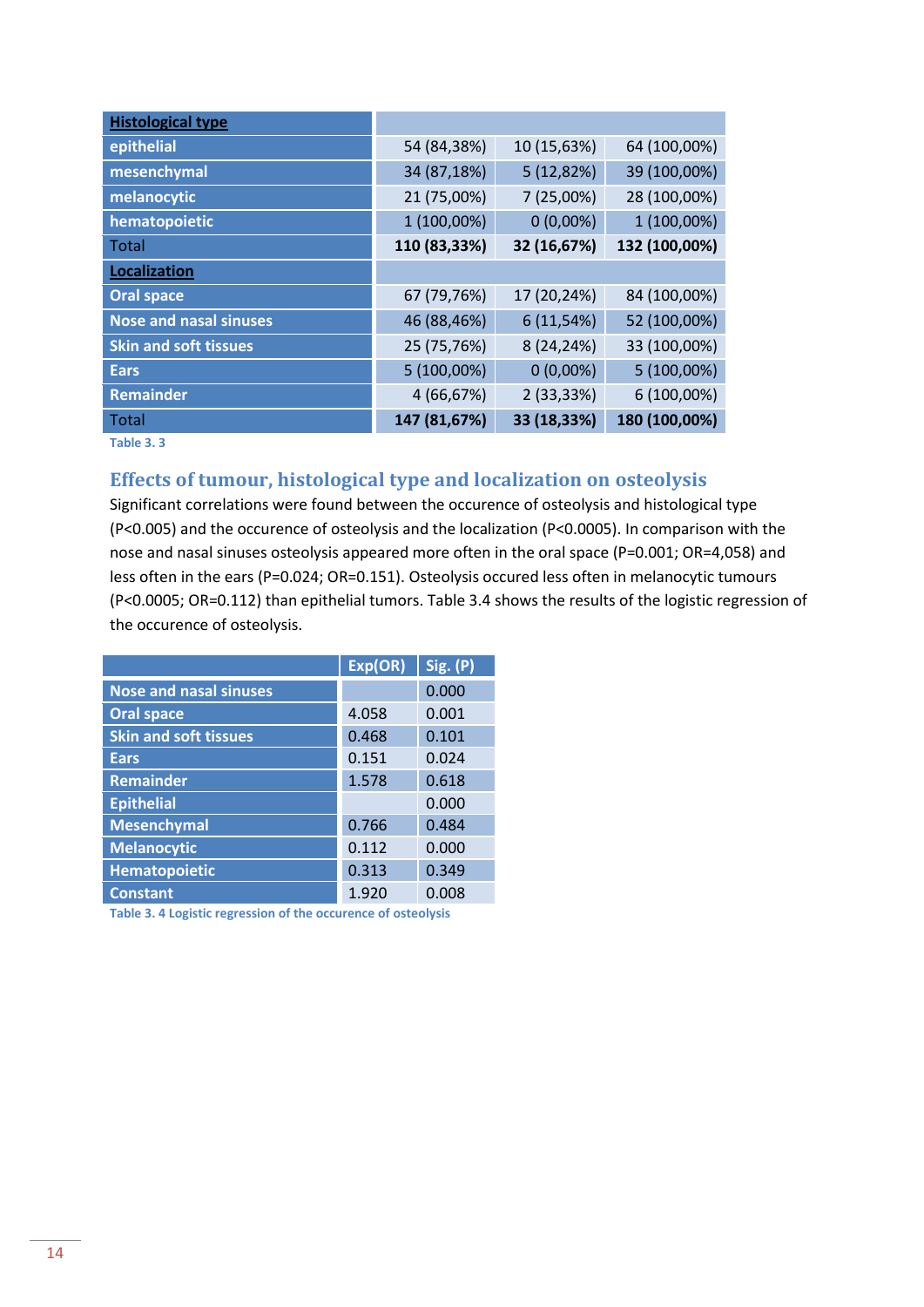| <b>Histological type</b>      |              |             |               |
|-------------------------------|--------------|-------------|---------------|
| epithelial                    | 54 (84,38%)  | 10 (15,63%) | 64 (100,00%)  |
| mesenchymal                   | 34 (87,18%)  | 5(12,82%)   | 39 (100,00%)  |
| melanocytic                   | 21 (75,00%)  | 7(25,00%)   | 28 (100,00%)  |
| hematopoietic                 | 1 (100,00%)  | $0(0,00\%)$ | 1 (100,00%)   |
| Total                         | 110 (83,33%) | 32 (16,67%) | 132 (100,00%) |
| Localization                  |              |             |               |
| <b>Oral space</b>             | 67 (79,76%)  | 17 (20,24%) | 84 (100,00%)  |
| <b>Nose and nasal sinuses</b> | 46 (88,46%)  | 6(11,54%)   | 52 (100,00%)  |
| <b>Skin and soft tissues</b>  | 25 (75,76%)  | 8 (24,24%)  | 33 (100,00%)  |
| <b>Ears</b>                   | 5 (100,00%)  | $0(0,00\%)$ | 5 (100,00%)   |
| <b>Remainder</b>              | 4 (66,67%)   | 2 (33,33%)  | 6 (100,00%)   |
| <b>Total</b>                  | 147 (81,67%) | 33 (18,33%) | 180 (100,00%) |

**Table 3. 3** 

### <span id="page-13-0"></span>**Effects of tumour, histological type and localization on osteolysis**

Significant correlations were found between the occurence of osteolysis and histological type (P<0.005) and the occurence of osteolysis and the localization (P<0.0005). In comparison with the nose and nasal sinuses osteolysis appeared more often in the oral space (P=0.001; OR=4,058) and less often in the ears (P=0.024; OR=0.151). Osteolysis occured less often in melanocytic tumours (P<0.0005; OR=0.112) than epithelial tumors. Table 3.4 shows the results of the logistic regression of the occurence of osteolysis.

|                               | Exp(OR) | Sig. (P) |
|-------------------------------|---------|----------|
| <b>Nose and nasal sinuses</b> |         | 0.000    |
| <b>Oral space</b>             | 4.058   | 0.001    |
| <b>Skin and soft tissues</b>  | 0.468   | 0.101    |
| <b>Ears</b>                   | 0.151   | 0.024    |
| <b>Remainder</b>              | 1.578   | 0.618    |
| <b>Epithelial</b>             |         | 0.000    |
| <b>Mesenchymal</b>            | 0.766   | 0.484    |
| <b>Melanocytic</b>            | 0.112   | 0.000    |
| Hematopoietic                 | 0.313   | 0.349    |
| <b>Constant</b>               | 1.920   | 0.008    |

**Table 3. 4 Logistic regression of the occurence of osteolysis**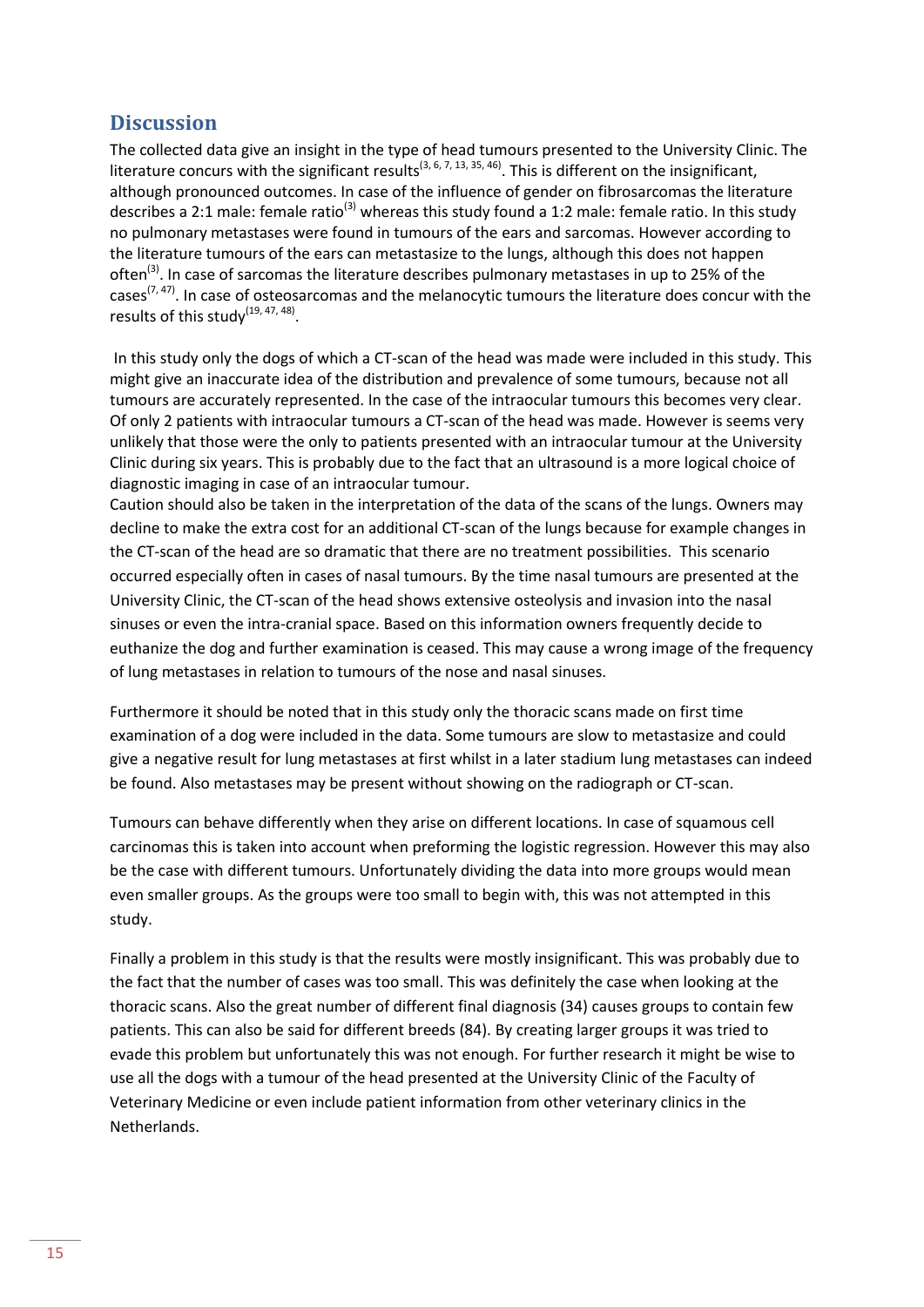# <span id="page-14-0"></span>**Discussion**

The collected data give an insight in the type of head tumours presented to the University Clinic. The literature concurs with the significant results<sup>(3, 6, 7, 13, 35, 46)</sup>. This is different on the insignificant, although pronounced outcomes. In case of the influence of gender on fibrosarcomas the literature describes a 2:1 male: female ratio<sup>(3)</sup> whereas this study found a 1:2 male: female ratio. In this study no pulmonary metastases were found in tumours of the ears and sarcomas. However according to the literature tumours of the ears can metastasize to the lungs, although this does not happen often<sup>(3)</sup>. In case of sarcomas the literature describes pulmonary metastases in up to 25% of the cases<sup>(7, 47)</sup>. In case of osteosarcomas and the melanocytic tumours the literature does concur with the results of this study $^{(19, 47, 48)}$ .

In this study only the dogs of which a CT-scan of the head was made were included in this study. This might give an inaccurate idea of the distribution and prevalence of some tumours, because not all tumours are accurately represented. In the case of the intraocular tumours this becomes very clear. Of only 2 patients with intraocular tumours a CT-scan of the head was made. However is seems very unlikely that those were the only to patients presented with an intraocular tumour at the University Clinic during six years. This is probably due to the fact that an ultrasound is a more logical choice of diagnostic imaging in case of an intraocular tumour.

Caution should also be taken in the interpretation of the data of the scans of the lungs. Owners may decline to make the extra cost for an additional CT-scan of the lungs because for example changes in the CT-scan of the head are so dramatic that there are no treatment possibilities. This scenario occurred especially often in cases of nasal tumours. By the time nasal tumours are presented at the University Clinic, the CT-scan of the head shows extensive osteolysis and invasion into the nasal sinuses or even the intra-cranial space. Based on this information owners frequently decide to euthanize the dog and further examination is ceased. This may cause a wrong image of the frequency of lung metastases in relation to tumours of the nose and nasal sinuses.

Furthermore it should be noted that in this study only the thoracic scans made on first time examination of a dog were included in the data. Some tumours are slow to metastasize and could give a negative result for lung metastases at first whilst in a later stadium lung metastases can indeed be found. Also metastases may be present without showing on the radiograph or CT-scan.

Tumours can behave differently when they arise on different locations. In case of squamous cell carcinomas this is taken into account when preforming the logistic regression. However this may also be the case with different tumours. Unfortunately dividing the data into more groups would mean even smaller groups. As the groups were too small to begin with, this was not attempted in this study.

Finally a problem in this study is that the results were mostly insignificant. This was probably due to the fact that the number of cases was too small. This was definitely the case when looking at the thoracic scans. Also the great number of different final diagnosis (34) causes groups to contain few patients. This can also be said for different breeds (84). By creating larger groups it was tried to evade this problem but unfortunately this was not enough. For further research it might be wise to use all the dogs with a tumour of the head presented at the University Clinic of the Faculty of Veterinary Medicine or even include patient information from other veterinary clinics in the Netherlands.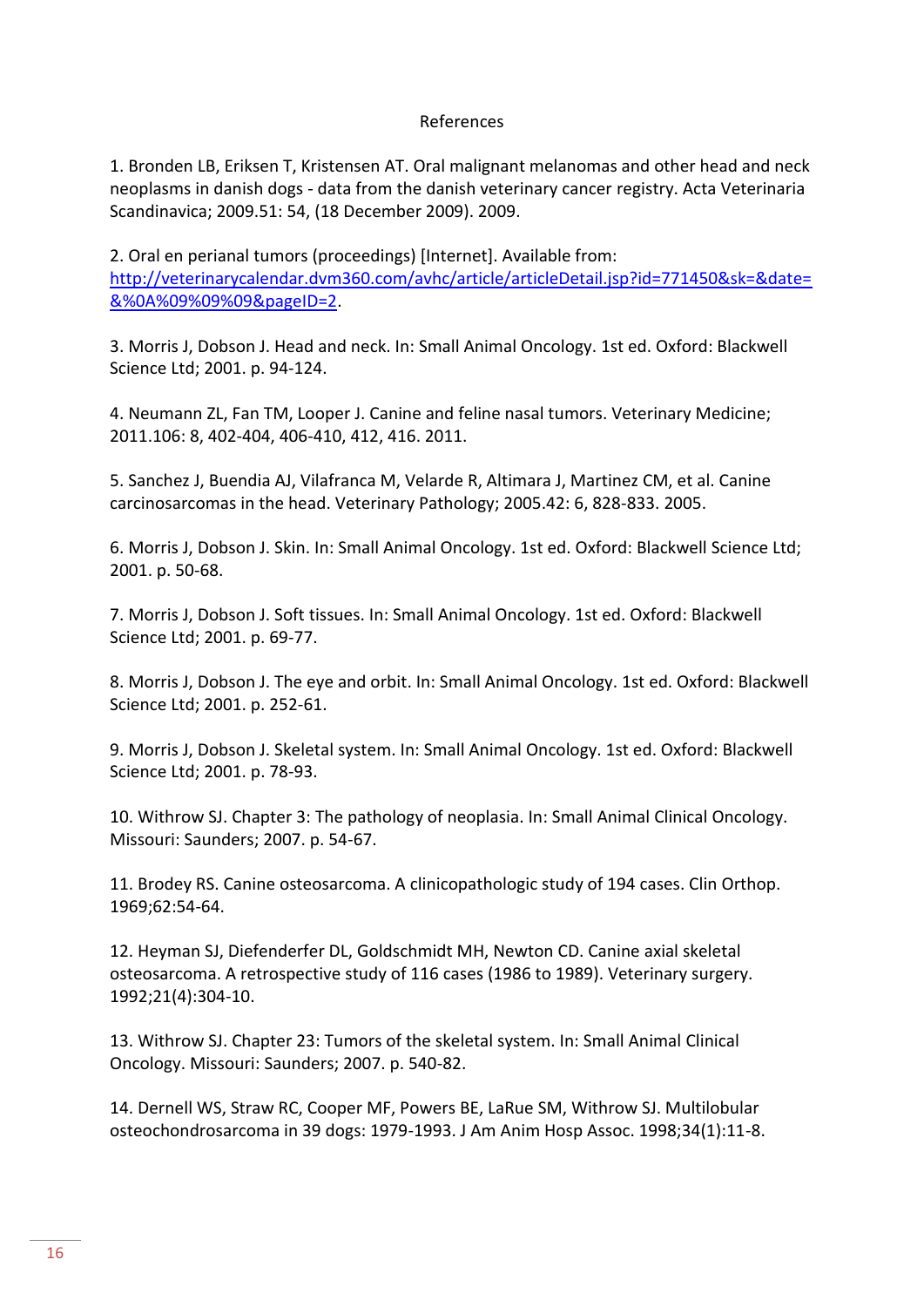#### References

1. Bronden LB, Eriksen T, Kristensen AT. Oral malignant melanomas and other head and neck neoplasms in danish dogs - data from the danish veterinary cancer registry. Acta Veterinaria Scandinavica; 2009.51: 54, (18 December 2009). 2009.

2. Oral en perianal tumors (proceedings) [Internet]. Available from: [http://veterinarycalendar.dvm360.com/avhc/article/articleDetail.jsp?id=771450&sk=&date=](http://veterinarycalendar.dvm360.com/avhc/article/articleDetail.jsp?id=771450&sk=&date=&%0A%09%09%09&pageID=2) [&%0A%09%09%09&pageID=2.](http://veterinarycalendar.dvm360.com/avhc/article/articleDetail.jsp?id=771450&sk=&date=&%0A%09%09%09&pageID=2)

3. Morris J, Dobson J. Head and neck. In: Small Animal Oncology. 1st ed. Oxford: Blackwell Science Ltd; 2001. p. 94-124.

4. Neumann ZL, Fan TM, Looper J. Canine and feline nasal tumors. Veterinary Medicine; 2011.106: 8, 402-404, 406-410, 412, 416. 2011.

5. Sanchez J, Buendia AJ, Vilafranca M, Velarde R, Altimara J, Martinez CM, et al. Canine carcinosarcomas in the head. Veterinary Pathology; 2005.42: 6, 828-833. 2005.

6. Morris J, Dobson J. Skin. In: Small Animal Oncology. 1st ed. Oxford: Blackwell Science Ltd; 2001. p. 50-68.

7. Morris J, Dobson J. Soft tissues. In: Small Animal Oncology. 1st ed. Oxford: Blackwell Science Ltd; 2001. p. 69-77.

8. Morris J, Dobson J. The eye and orbit. In: Small Animal Oncology. 1st ed. Oxford: Blackwell Science Ltd; 2001. p. 252-61.

9. Morris J, Dobson J. Skeletal system. In: Small Animal Oncology. 1st ed. Oxford: Blackwell Science Ltd; 2001. p. 78-93.

10. Withrow SJ. Chapter 3: The pathology of neoplasia. In: Small Animal Clinical Oncology. Missouri: Saunders; 2007. p. 54-67.

11. Brodey RS. Canine osteosarcoma. A clinicopathologic study of 194 cases. Clin Orthop. 1969;62:54-64.

12. Heyman SJ, Diefenderfer DL, Goldschmidt MH, Newton CD. Canine axial skeletal osteosarcoma. A retrospective study of 116 cases (1986 to 1989). Veterinary surgery. 1992;21(4):304-10.

13. Withrow SJ. Chapter 23: Tumors of the skeletal system. In: Small Animal Clinical Oncology. Missouri: Saunders; 2007. p. 540-82.

14. Dernell WS, Straw RC, Cooper MF, Powers BE, LaRue SM, Withrow SJ. Multilobular osteochondrosarcoma in 39 dogs: 1979-1993. J Am Anim Hosp Assoc. 1998;34(1):11-8.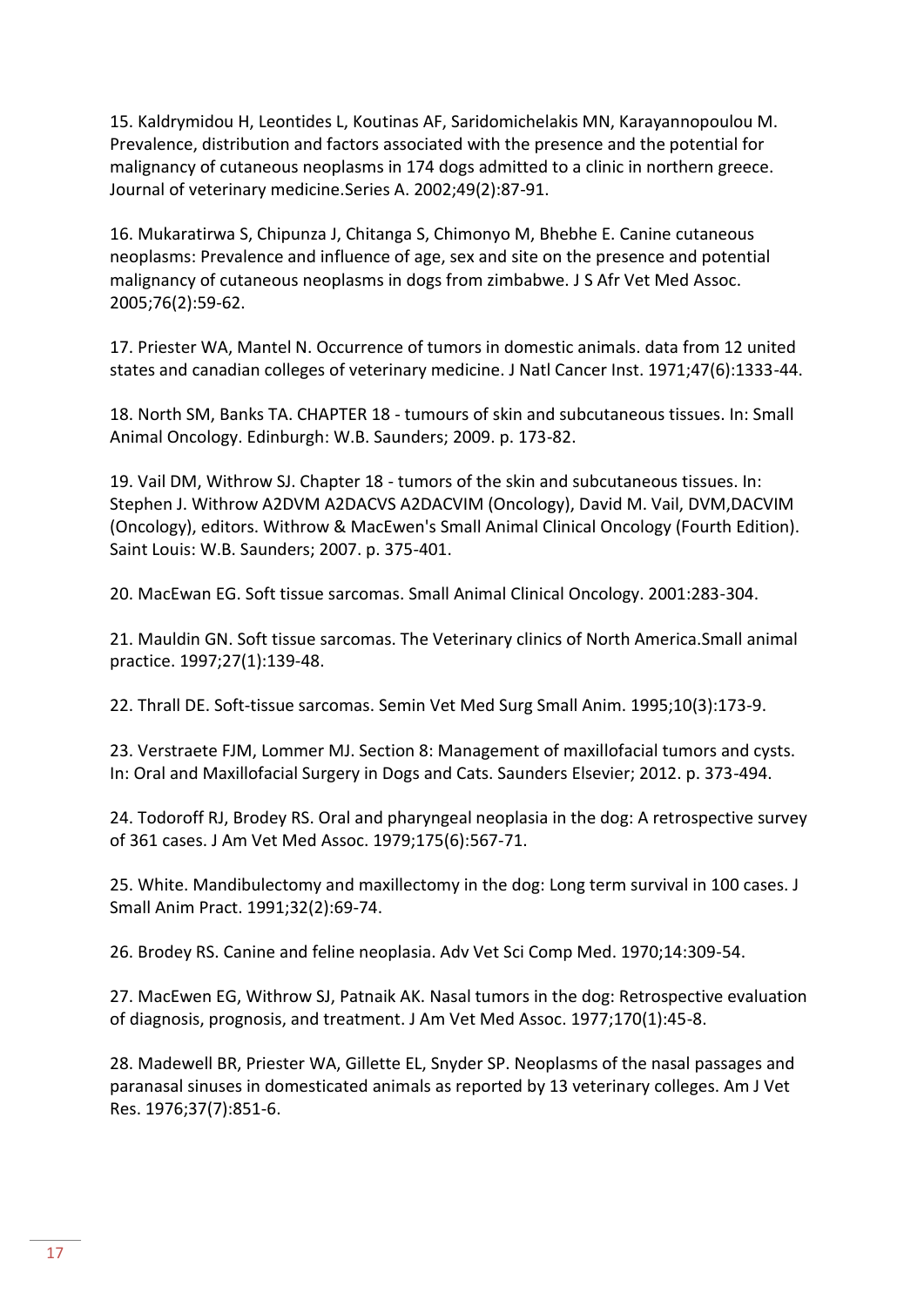15. Kaldrymidou H, Leontides L, Koutinas AF, Saridomichelakis MN, Karayannopoulou M. Prevalence, distribution and factors associated with the presence and the potential for malignancy of cutaneous neoplasms in 174 dogs admitted to a clinic in northern greece. Journal of veterinary medicine.Series A. 2002;49(2):87-91.

16. Mukaratirwa S, Chipunza J, Chitanga S, Chimonyo M, Bhebhe E. Canine cutaneous neoplasms: Prevalence and influence of age, sex and site on the presence and potential malignancy of cutaneous neoplasms in dogs from zimbabwe. J S Afr Vet Med Assoc. 2005;76(2):59-62.

17. Priester WA, Mantel N. Occurrence of tumors in domestic animals. data from 12 united states and canadian colleges of veterinary medicine. J Natl Cancer Inst. 1971;47(6):1333-44.

18. North SM, Banks TA. CHAPTER 18 - tumours of skin and subcutaneous tissues. In: Small Animal Oncology. Edinburgh: W.B. Saunders; 2009. p. 173-82.

19. Vail DM, Withrow SJ. Chapter 18 - tumors of the skin and subcutaneous tissues. In: Stephen J. Withrow A2DVM A2DACVS A2DACVIM (Oncology), David M. Vail, DVM,DACVIM (Oncology), editors. Withrow & MacEwen's Small Animal Clinical Oncology (Fourth Edition). Saint Louis: W.B. Saunders; 2007. p. 375-401.

20. MacEwan EG. Soft tissue sarcomas. Small Animal Clinical Oncology. 2001:283-304.

21. Mauldin GN. Soft tissue sarcomas. The Veterinary clinics of North America.Small animal practice. 1997;27(1):139-48.

22. Thrall DE. Soft-tissue sarcomas. Semin Vet Med Surg Small Anim. 1995;10(3):173-9.

23. Verstraete FJM, Lommer MJ. Section 8: Management of maxillofacial tumors and cysts. In: Oral and Maxillofacial Surgery in Dogs and Cats. Saunders Elsevier; 2012. p. 373-494.

24. Todoroff RJ, Brodey RS. Oral and pharyngeal neoplasia in the dog: A retrospective survey of 361 cases. J Am Vet Med Assoc. 1979;175(6):567-71.

25. White. Mandibulectomy and maxillectomy in the dog: Long term survival in 100 cases. J Small Anim Pract. 1991;32(2):69-74.

26. Brodey RS. Canine and feline neoplasia. Adv Vet Sci Comp Med. 1970;14:309-54.

27. MacEwen EG, Withrow SJ, Patnaik AK. Nasal tumors in the dog: Retrospective evaluation of diagnosis, prognosis, and treatment. J Am Vet Med Assoc. 1977;170(1):45-8.

28. Madewell BR, Priester WA, Gillette EL, Snyder SP. Neoplasms of the nasal passages and paranasal sinuses in domesticated animals as reported by 13 veterinary colleges. Am J Vet Res. 1976;37(7):851-6.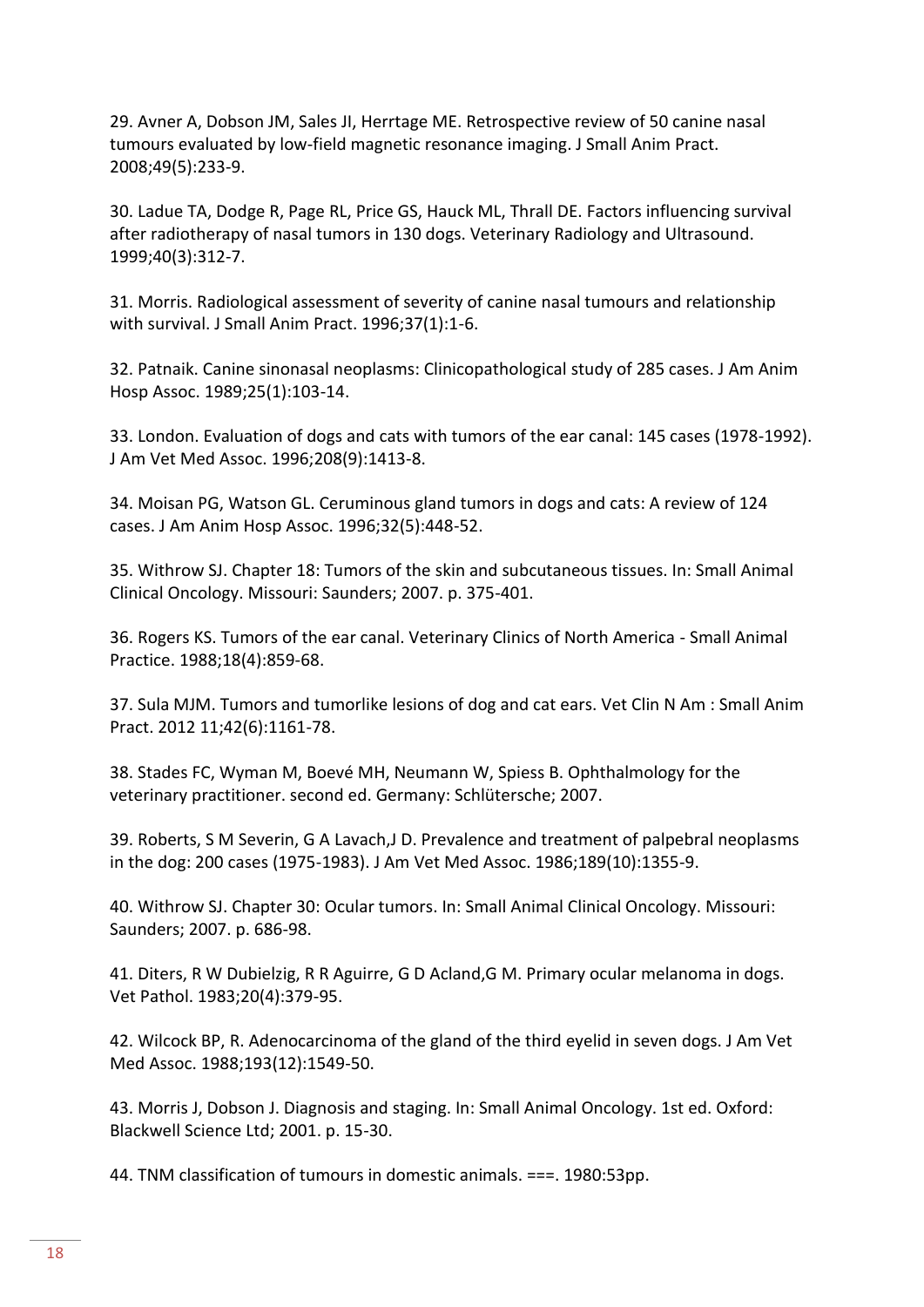29. Avner A, Dobson JM, Sales JI, Herrtage ME. Retrospective review of 50 canine nasal tumours evaluated by low-field magnetic resonance imaging. J Small Anim Pract. 2008;49(5):233-9.

30. Ladue TA, Dodge R, Page RL, Price GS, Hauck ML, Thrall DE. Factors influencing survival after radiotherapy of nasal tumors in 130 dogs. Veterinary Radiology and Ultrasound. 1999;40(3):312-7.

31. Morris. Radiological assessment of severity of canine nasal tumours and relationship with survival. J Small Anim Pract. 1996;37(1):1-6.

32. Patnaik. Canine sinonasal neoplasms: Clinicopathological study of 285 cases. J Am Anim Hosp Assoc. 1989;25(1):103-14.

33. London. Evaluation of dogs and cats with tumors of the ear canal: 145 cases (1978-1992). J Am Vet Med Assoc. 1996;208(9):1413-8.

34. Moisan PG, Watson GL. Ceruminous gland tumors in dogs and cats: A review of 124 cases. J Am Anim Hosp Assoc. 1996;32(5):448-52.

35. Withrow SJ. Chapter 18: Tumors of the skin and subcutaneous tissues. In: Small Animal Clinical Oncology. Missouri: Saunders; 2007. p. 375-401.

36. Rogers KS. Tumors of the ear canal. Veterinary Clinics of North America - Small Animal Practice. 1988;18(4):859-68.

37. Sula MJM. Tumors and tumorlike lesions of dog and cat ears. Vet Clin N Am : Small Anim Pract. 2012 11;42(6):1161-78.

38. Stades FC, Wyman M, Boevé MH, Neumann W, Spiess B. Ophthalmology for the veterinary practitioner. second ed. Germany: Schlütersche; 2007.

39. Roberts, S M Severin, G A Lavach,J D. Prevalence and treatment of palpebral neoplasms in the dog: 200 cases (1975-1983). J Am Vet Med Assoc. 1986;189(10):1355-9.

40. Withrow SJ. Chapter 30: Ocular tumors. In: Small Animal Clinical Oncology. Missouri: Saunders; 2007. p. 686-98.

41. Diters, R W Dubielzig, R R Aguirre, G D Acland,G M. Primary ocular melanoma in dogs. Vet Pathol. 1983;20(4):379-95.

42. Wilcock BP, R. Adenocarcinoma of the gland of the third eyelid in seven dogs. J Am Vet Med Assoc. 1988;193(12):1549-50.

43. Morris J, Dobson J. Diagnosis and staging. In: Small Animal Oncology. 1st ed. Oxford: Blackwell Science Ltd; 2001. p. 15-30.

44. TNM classification of tumours in domestic animals. ===. 1980:53pp.